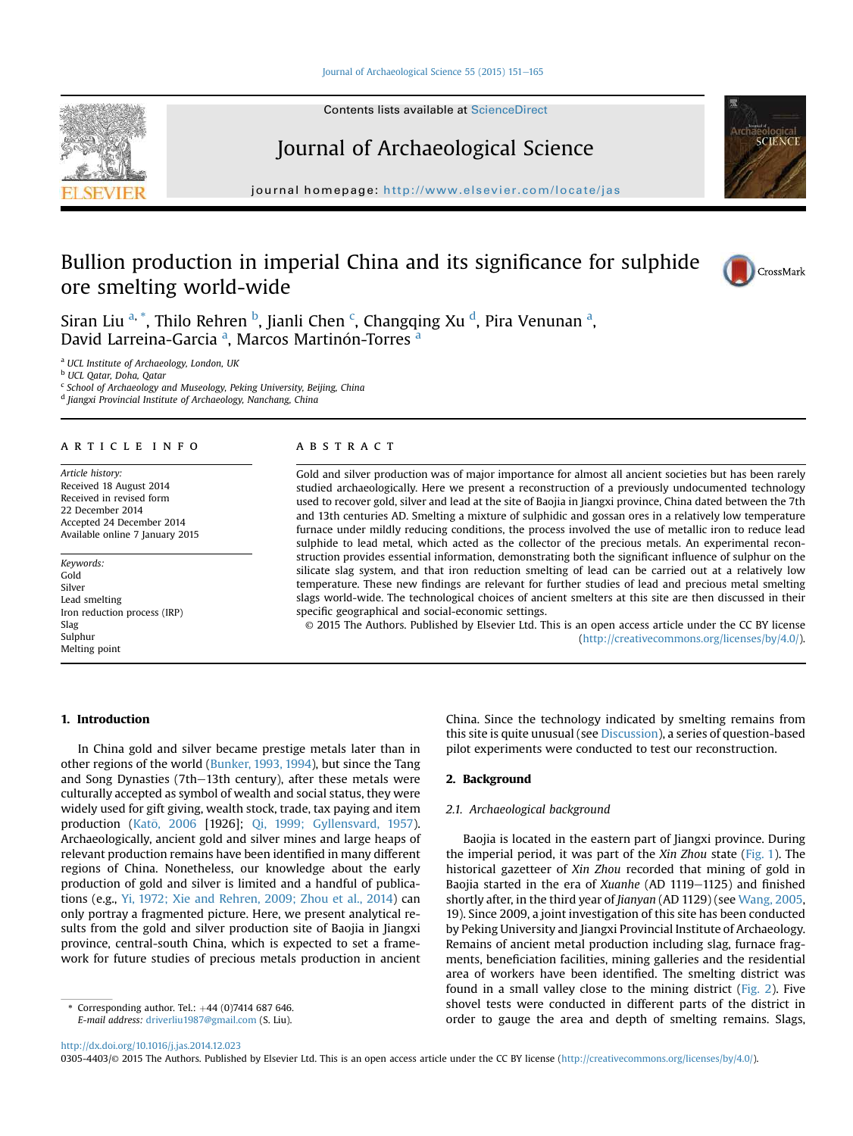#### [Journal of Archaeological Science 55 \(2015\) 151](http://dx.doi.org/10.1016/j.jas.2014.12.023)-[165](http://dx.doi.org/10.1016/j.jas.2014.12.023)



# Journal of Archaeological Science

journal homepage: <http://www.elsevier.com/locate/jas>

# Bullion production in imperial China and its significance for sulphide ore smelting world-wide



CrossMark

SCIENC

Siran Liu <sup>a, \*</sup>, Thilo Rehren <sup>b</sup>, Jianli Chen <sup>c</sup>, Changqing Xu <sup>d</sup>, Pira Venunan <sup>a</sup>, David Larreina-Garcia <sup>a</sup>, Marcos Martinón-Torres <sup>a</sup>

<sup>a</sup> UCL Institute of Archaeology, London, UK

<sup>b</sup> UCL Qatar, Doha, Qatar

<sup>c</sup> School of Archaeology and Museology, Peking University, Beijing, China

<sup>d</sup> Jiangxi Provincial Institute of Archaeology, Nanchang, China

# article info

Article history: Received 18 August 2014 Received in revised form 22 December 2014 Accepted 24 December 2014 Available online 7 January 2015

Keywords: Gold Silver Lead smelting Iron reduction process (IRP) Slag Sulphur Melting point

## 1. Introduction

#### **ABSTRACT**

Gold and silver production was of major importance for almost all ancient societies but has been rarely studied archaeologically. Here we present a reconstruction of a previously undocumented technology used to recover gold, silver and lead at the site of Baojia in Jiangxi province, China dated between the 7th and 13th centuries AD. Smelting a mixture of sulphidic and gossan ores in a relatively low temperature furnace under mildly reducing conditions, the process involved the use of metallic iron to reduce lead sulphide to lead metal, which acted as the collector of the precious metals. An experimental reconstruction provides essential information, demonstrating both the significant influence of sulphur on the silicate slag system, and that iron reduction smelting of lead can be carried out at a relatively low temperature. These new findings are relevant for further studies of lead and precious metal smelting slags world-wide. The technological choices of ancient smelters at this site are then discussed in their specific geographical and social-economic settings.

© 2015 The Authors. Published by Elsevier Ltd. This is an open access article under the CC BY license [\(http://creativecommons.org/licenses/by/4.0/](http://creativecommons.org/licenses/by/4.�0/)).

In China gold and silver became prestige metals later than in other regions of the world ([Bunker, 1993, 1994](#page-13-0)), but since the Tang and Song Dynasties (7th-13th century), after these metals were culturally accepted as symbol of wealth and social status, they were widely used for gift giving, wealth stock, trade, tax paying and item production (Katō, 2006 [1926]; [Qi, 1999; Gyllensvard, 1957\)](#page-13-0). Archaeologically, ancient gold and silver mines and large heaps of relevant production remains have been identified in many different regions of China. Nonetheless, our knowledge about the early production of gold and silver is limited and a handful of publications (e.g., [Yi, 1972; Xie and Rehren, 2009; Zhou et al., 2014](#page-14-0)) can only portray a fragmented picture. Here, we present analytical results from the gold and silver production site of Baojia in Jiangxi province, central-south China, which is expected to set a framework for future studies of precious metals production in ancient China. Since the technology indicated by smelting remains from this site is quite unusual (see [Discussion\)](#page-8-0), a series of question-based pilot experiments were conducted to test our reconstruction.

# 2. Background

# 2.1. Archaeological background

Baojia is located in the eastern part of Jiangxi province. During the imperial period, it was part of the Xin Zhou state ([Fig. 1\)](#page-1-0). The historical gazetteer of Xin Zhou recorded that mining of gold in Baojia started in the era of Xuanhe (AD 1119-1125) and finished shortly after, in the third year of Jianyan (AD 1129) (see [Wang, 2005,](#page-14-0) 19). Since 2009, a joint investigation of this site has been conducted by Peking University and Jiangxi Provincial Institute of Archaeology. Remains of ancient metal production including slag, furnace fragments, beneficiation facilities, mining galleries and the residential area of workers have been identified. The smelting district was found in a small valley close to the mining district ([Fig. 2\)](#page-1-0). Five shovel tests were conducted in different parts of the district in order to gauge the area and depth of smelting remains. Slags,

Corresponding author. Tel.:  $+44$  (0)7414 687 646. E-mail address: [driverliu1987@gmail.com](mailto:driverliu1987@gmail.com) (S. Liu).

<http://dx.doi.org/10.1016/j.jas.2014.12.023>

<sup>0305-4403/© 2015</sup> The Authors. Published by Elsevier Ltd. This is an open access article under the CC BY license [\(http://creativecommons.org/licenses/by/4.0/\)](http://creativecommons.org/licenses/by/4.�0/).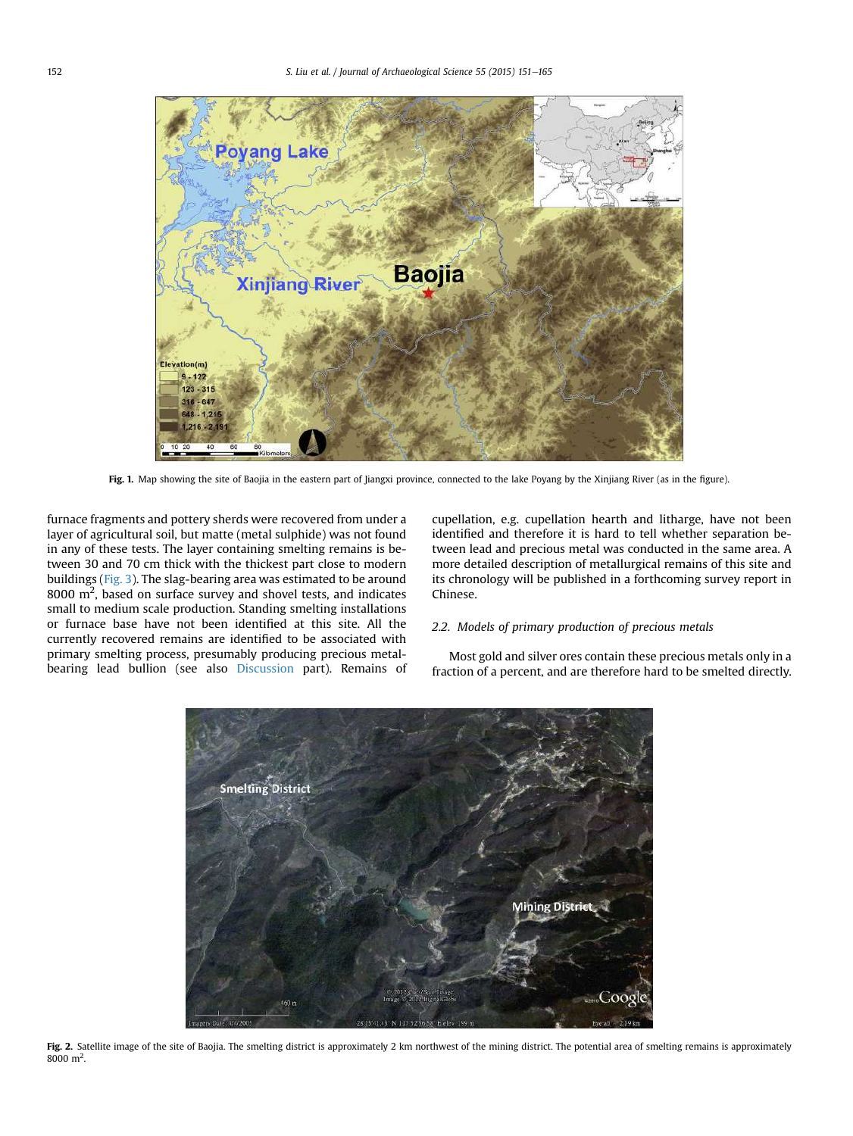<span id="page-1-0"></span>

Fig. 1. Map showing the site of Baojia in the eastern part of Jiangxi province, connected to the lake Poyang by the Xinjiang River (as in the figure).

furnace fragments and pottery sherds were recovered from under a layer of agricultural soil, but matte (metal sulphide) was not found in any of these tests. The layer containing smelting remains is between 30 and 70 cm thick with the thickest part close to modern buildings ([Fig. 3](#page-2-0)). The slag-bearing area was estimated to be around  $8000 \text{ m}^2$ , based on surface survey and shovel tests, and indicates small to medium scale production. Standing smelting installations or furnace base have not been identified at this site. All the currently recovered remains are identified to be associated with primary smelting process, presumably producing precious metalbearing lead bullion (see also [Discussion](#page-8-0) part). Remains of cupellation, e.g. cupellation hearth and litharge, have not been identified and therefore it is hard to tell whether separation between lead and precious metal was conducted in the same area. A more detailed description of metallurgical remains of this site and its chronology will be published in a forthcoming survey report in Chinese.

# 2.2. Models of primary production of precious metals

Most gold and silver ores contain these precious metals only in a fraction of a percent, and are therefore hard to be smelted directly.



Fig. 2. Satellite image of the site of Baojia. The smelting district is approximately 2 km northwest of the mining district. The potential area of smelting remains is approximately  $8000 \; \mathrm{m}^2$ .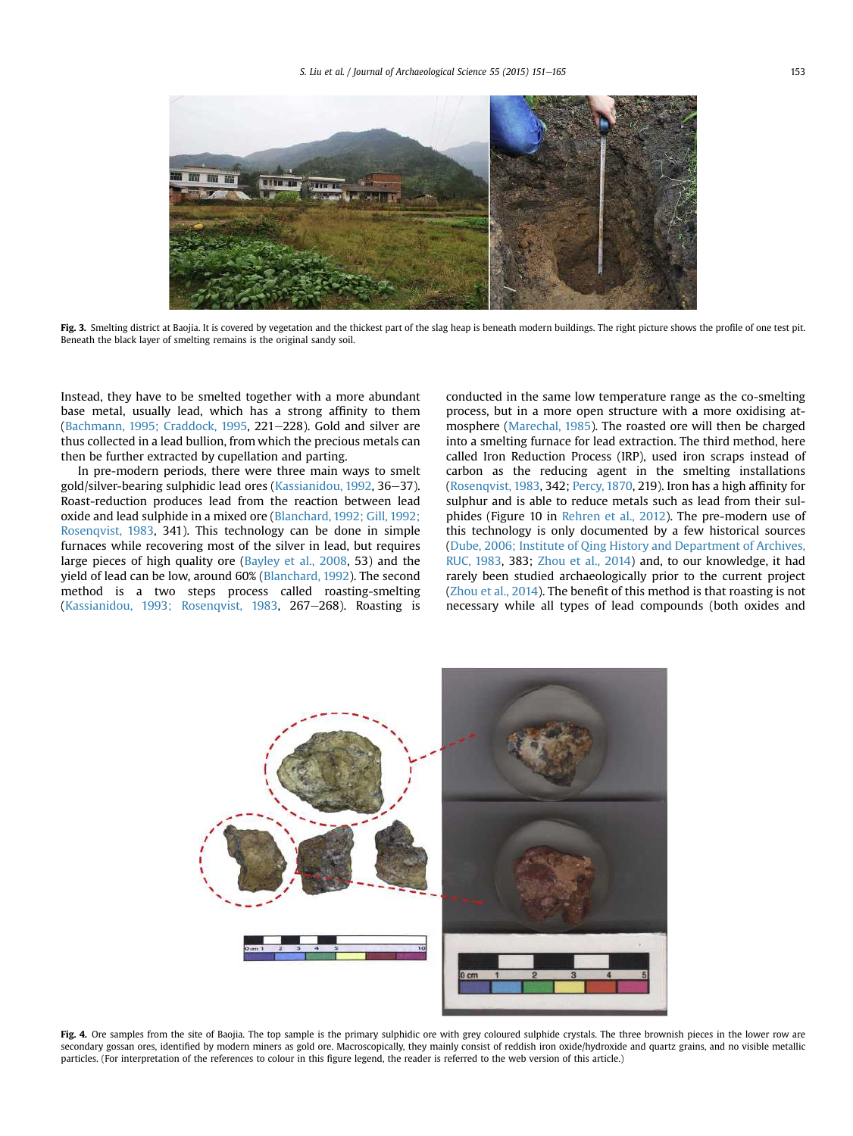<span id="page-2-0"></span>

Fig. 3. Smelting district at Baojia. It is covered by vegetation and the thickest part of the slag heap is beneath modern buildings. The right picture shows the profile of one test pit. Beneath the black layer of smelting remains is the original sandy soil.

Instead, they have to be smelted together with a more abundant base metal, usually lead, which has a strong affinity to them ([Bachmann, 1995; Craddock, 1995,](#page-13-0) 221 $-228$ ). Gold and silver are thus collected in a lead bullion, from which the precious metals can then be further extracted by cupellation and parting.

In pre-modern periods, there were three main ways to smelt gold/silver-bearing sulphidic lead ores [\(Kassianidou, 1992,](#page-13-0) 36-37). Roast-reduction produces lead from the reaction between lead oxide and lead sulphide in a mixed ore ([Blanchard, 1992; Gill, 1992;](#page-13-0) [Rosenqvist, 1983](#page-13-0), 341). This technology can be done in simple furnaces while recovering most of the silver in lead, but requires large pieces of high quality ore ([Bayley et al., 2008](#page-13-0), 53) and the yield of lead can be low, around 60% [\(Blanchard, 1992](#page-13-0)). The second method is a two steps process called roasting-smelting ([Kassianidou, 1993; Rosenqvist, 1983](#page-13-0), 267 $-$ 268). Roasting is conducted in the same low temperature range as the co-smelting process, but in a more open structure with a more oxidising atmosphere [\(Marechal, 1985\)](#page-13-0). The roasted ore will then be charged into a smelting furnace for lead extraction. The third method, here called Iron Reduction Process (IRP), used iron scraps instead of carbon as the reducing agent in the smelting installations ([Rosenqvist, 1983](#page-13-0), 342; [Percy, 1870,](#page-13-0) 219). Iron has a high affinity for sulphur and is able to reduce metals such as lead from their sulphides (Figure 10 in [Rehren et al., 2012](#page-13-0)). The pre-modern use of this technology is only documented by a few historical sources ([Dube, 2006; Institute of Qing History and Department of Archives,](#page-13-0) [RUC, 1983](#page-13-0), 383; [Zhou et al., 2014\)](#page-14-0) and, to our knowledge, it had rarely been studied archaeologically prior to the current project ([Zhou et al., 2014\)](#page-14-0). The benefit of this method is that roasting is not necessary while all types of lead compounds (both oxides and



Fig. 4. Ore samples from the site of Baojia. The top sample is the primary sulphidic ore with grey coloured sulphide crystals. The three brownish pieces in the lower row are secondary gossan ores, identified by modern miners as gold ore. Macroscopically, they mainly consist of reddish iron oxide/hydroxide and quartz grains, and no visible metallic particles. (For interpretation of the references to colour in this figure legend, the reader is referred to the web version of this article.)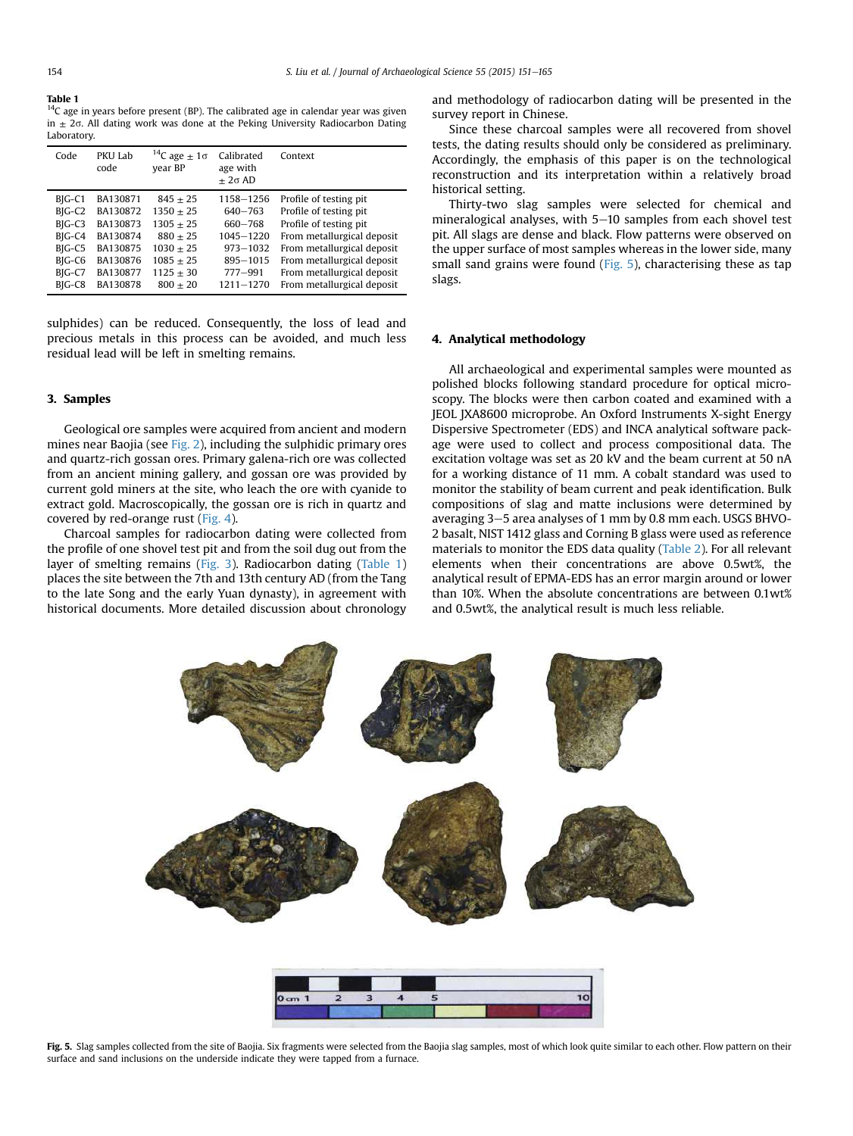$14C$  age in years before present (BP). The calibrated age in calendar year was given in  $\pm$  2 $\sigma$ . All dating work was done at the Peking University Radiocarbon Dating Laboratory.

| Code                                                                           | PKU Lab<br>code                                                                  | $14C$ age $\pm 1\sigma$<br>vear BP                                                                  | Calibrated<br>age with<br>$+2\sigma$ AD                                             | Context                                                                                                                                                                                             |
|--------------------------------------------------------------------------------|----------------------------------------------------------------------------------|-----------------------------------------------------------------------------------------------------|-------------------------------------------------------------------------------------|-----------------------------------------------------------------------------------------------------------------------------------------------------------------------------------------------------|
| BIG-C1<br>BIG-C <sub>2</sub><br>BIG-C3<br>BIG-C4<br>BIG-C5<br>BIG-C6<br>BIG-C7 | BA130871<br>BA130872<br>BA130873<br>BA130874<br>BA130875<br>BA130876<br>BA130877 | $845 + 25$<br>$1350 + 25$<br>$1305 + 25$<br>$880 + 25$<br>$1030 + 25$<br>$1085 + 25$<br>$1125 + 30$ | 1158-1256<br>640-763<br>660-768<br>1045-1220<br>973-1032<br>895-1015<br>$777 - 991$ | Profile of testing pit.<br>Profile of testing pit<br>Profile of testing pit<br>From metallurgical deposit<br>From metallurgical deposit<br>From metallurgical deposit<br>From metallurgical deposit |
| BIG-C8                                                                         | BA130878                                                                         | $800 + 20$                                                                                          | 1211-1270                                                                           | From metallurgical deposit                                                                                                                                                                          |

sulphides) can be reduced. Consequently, the loss of lead and precious metals in this process can be avoided, and much less residual lead will be left in smelting remains.

# 3. Samples

Geological ore samples were acquired from ancient and modern mines near Baojia (see [Fig. 2\)](#page-1-0), including the sulphidic primary ores and quartz-rich gossan ores. Primary galena-rich ore was collected from an ancient mining gallery, and gossan ore was provided by current gold miners at the site, who leach the ore with cyanide to extract gold. Macroscopically, the gossan ore is rich in quartz and covered by red-orange rust [\(Fig. 4](#page-2-0)).

Charcoal samples for radiocarbon dating were collected from the profile of one shovel test pit and from the soil dug out from the layer of smelting remains [\(Fig. 3\)](#page-2-0). Radiocarbon dating (Table 1) places the site between the 7th and 13th century AD (from the Tang to the late Song and the early Yuan dynasty), in agreement with historical documents. More detailed discussion about chronology and methodology of radiocarbon dating will be presented in the survey report in Chinese.

Since these charcoal samples were all recovered from shovel tests, the dating results should only be considered as preliminary. Accordingly, the emphasis of this paper is on the technological reconstruction and its interpretation within a relatively broad historical setting.

Thirty-two slag samples were selected for chemical and mineralogical analyses, with  $5-10$  samples from each shovel test pit. All slags are dense and black. Flow patterns were observed on the upper surface of most samples whereas in the lower side, many small sand grains were found (Fig. 5), characterising these as tap slags.

## 4. Analytical methodology

All archaeological and experimental samples were mounted as polished blocks following standard procedure for optical microscopy. The blocks were then carbon coated and examined with a JEOL JXA8600 microprobe. An Oxford Instruments X-sight Energy Dispersive Spectrometer (EDS) and INCA analytical software package were used to collect and process compositional data. The excitation voltage was set as 20 kV and the beam current at 50 nA for a working distance of 11 mm. A cobalt standard was used to monitor the stability of beam current and peak identification. Bulk compositions of slag and matte inclusions were determined by averaging  $3-5$  area analyses of 1 mm by 0.8 mm each. USGS BHVO-2 basalt, NIST 1412 glass and Corning B glass were used as reference materials to monitor the EDS data quality ([Table 2\)](#page-4-0). For all relevant elements when their concentrations are above 0.5wt%, the analytical result of EPMA-EDS has an error margin around or lower than 10%. When the absolute concentrations are between 0.1wt% and 0.5wt%, the analytical result is much less reliable.



Fig. 5. Slag samples collected from the site of Baojia. Six fragments were selected from the Baojia slag samples, most of which look quite similar to each other. Flow pattern on their surface and sand inclusions on the underside indicate they were tapped from a furnace.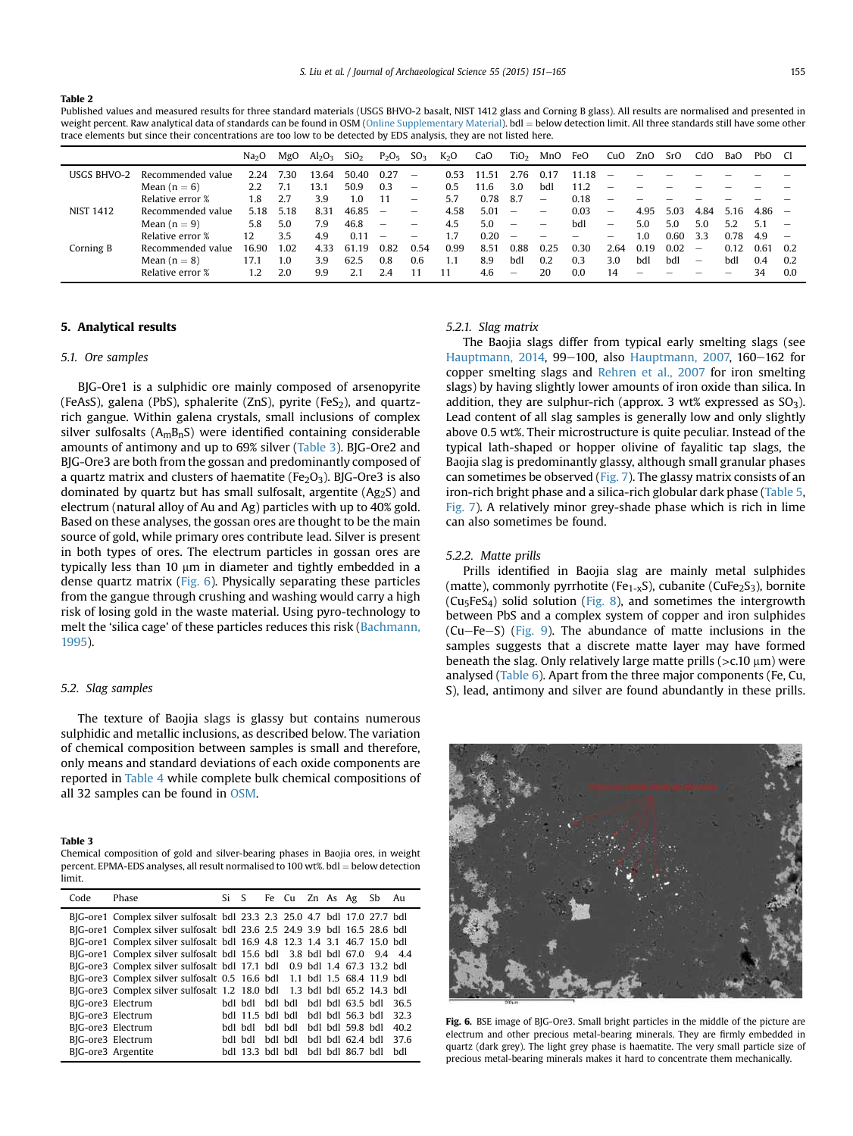<span id="page-4-0"></span>Published values and measured results for three standard materials (USGS BHVO-2 basalt, NIST 1412 glass and Corning B glass). All results are normalised and presented in weight percent. Raw analytical data of standards can be found in OSM (Online Supplementary Material). bdl = below detection limit. All three standards still have some other trace elements but since their concentrations are too low to be detected by EDS analysis, they are not listed here.

|                    |                   | Na <sub>2</sub> O | MgO  | Al <sub>2</sub> O <sub>3</sub> | SiO <sub>2</sub> | $P_2O_5$                 | SO <sub>3</sub> | K <sub>2</sub> O | CaO   | TiO <sub>2</sub>         | MnO                      | FeO  | CuO             | ZnO  | SrO  | CdO  | BaO  | PbO. | -CI |
|--------------------|-------------------|-------------------|------|--------------------------------|------------------|--------------------------|-----------------|------------------|-------|--------------------------|--------------------------|------|-----------------|------|------|------|------|------|-----|
| <b>USGS BHVO-2</b> | Recommended value | 2.24              | 7.30 | 13.64                          | 50.40            | 0.27                     | -               | 0.53             | 11 51 | 2.76                     |                          | 118  |                 |      |      |      |      |      |     |
|                    | Mean $(n = 6)$    | 2.2               | 7.1  | 13.1                           | 50.9             | 0.3                      |                 | 0.5              | 11.6  | 3.0                      | bdl                      | 11.2 |                 |      |      |      |      |      |     |
|                    | Relative error %  | 1.8               | 2.7  | 3.9                            | 1.0              | 11                       |                 | 5.7              | 0.78  | 8.7                      | $\qquad \qquad -$        | 0.18 | -               |      |      |      |      |      |     |
| <b>NIST 1412</b>   | Recommended value | 5.18              | 5.18 | 8.31                           | 46.85            | $\overline{\phantom{0}}$ | -               | 4.58             | 5.01  | $\overline{\phantom{0}}$ | -                        | 0.03 | $\qquad \qquad$ | 4.95 | 5.03 | 4.84 | 5.16 | 4.86 |     |
|                    | Mean $(n = 9)$    | 5.8               | 5.0  | 7.9                            | 46.8             | $\qquad \qquad$          | -               | 4.5              | 5.0   | $\overline{\phantom{m}}$ | $\qquad \qquad$          | bdl  | $\qquad \qquad$ | 5.0  | 5.0  | 5.0  | 5.2  | 5.1  |     |
|                    | Relative error %  | 12                | 3.5  | 4.9                            | 0.11             | $\overline{\phantom{0}}$ | -               | 1.7              | 0.20  | $\overline{\phantom{m}}$ | $\overline{\phantom{0}}$ | -    | -               | 1.0  | 0.60 | 3.3  | 0.78 | 4.9  |     |
| Corning B          | Recommended value | 16.90             | 1.02 | 4.33                           | 61 19            | 0.82                     | 0.54            | 0.99             | 8.51  | 0.88                     | 0.25                     | 0.30 | 2.64            | 0.19 | 0.02 | -    | 0.12 | 0.61 | 0.2 |
|                    | Mean $(n = 8)$    | 17.1              | 1.0  | 3.9                            | 62.5             | 0.8                      | 0.6             | 1.1              | 8.9   | bdl                      | 0.2                      | 0.3  | 3.0             | bdl  | bdl  |      | bdl  | 0.4  | 0.2 |
|                    | Relative error %  | 1.2               | 2.0  | 9.9                            |                  | 2.4                      |                 | 11               | 4.6   | $\overline{\phantom{m}}$ | 20                       | 0.0  | 14              | -    |      |      |      | 34   | 0.0 |

# 5. Analytical results

#### 5.1. Ore samples

BJG-Ore1 is a sulphidic ore mainly composed of arsenopyrite (FeAsS), galena (PbS), sphalerite (ZnS), pyrite (FeS<sub>2</sub>), and quartzrich gangue. Within galena crystals, small inclusions of complex silver sulfosalts  $(A_mB_nS)$  were identified containing considerable amounts of antimony and up to 69% silver (Table 3). BJG-Ore2 and BJG-Ore3 are both from the gossan and predominantly composed of a quartz matrix and clusters of haematite ( $Fe<sub>2</sub>O<sub>3</sub>$ ). BJG-Ore3 is also dominated by quartz but has small sulfosalt, argentite (Ag2S) and electrum (natural alloy of Au and Ag) particles with up to 40% gold. Based on these analyses, the gossan ores are thought to be the main source of gold, while primary ores contribute lead. Silver is present in both types of ores. The electrum particles in gossan ores are typically less than 10  $\mu$ m in diameter and tightly embedded in a dense quartz matrix (Fig. 6). Physically separating these particles from the gangue through crushing and washing would carry a high risk of losing gold in the waste material. Using pyro-technology to melt the 'silica cage' of these particles reduces this risk ([Bachmann,](#page-13-0) [1995\)](#page-13-0).

### 5.2. Slag samples

The texture of Baojia slags is glassy but contains numerous sulphidic and metallic inclusions, as described below. The variation of chemical composition between samples is small and therefore, only means and standard deviations of each oxide components are reported in [Table 4](#page-5-0) while complete bulk chemical compositions of all 32 samples can be found in OSM.

#### Table 3

Chemical composition of gold and silver-bearing phases in Baojia ores, in weight percent. EPMA-EDS analyses, all result normalised to 100 wt%.  $bdl =$  below detection limit.

| Code | Phase                                                                     | Si S |                  | Fe Cu Zn As Ag Sb Au     |  |                  |      |
|------|---------------------------------------------------------------------------|------|------------------|--------------------------|--|------------------|------|
|      | BJG-ore1 Complex silver sulfosalt bdl 23.3 2.3 25.0 4.7 bdl 17.0 27.7 bdl |      |                  |                          |  |                  |      |
|      | BJG-ore1 Complex silver sulfosalt bdl 23.6 2.5 24.9 3.9 bdl 16.5 28.6 bdl |      |                  |                          |  |                  |      |
|      | BJG-ore1 Complex silver sulfosalt bdl 16.9 4.8 12.3 1.4 3.1 46.7 15.0 bdl |      |                  |                          |  |                  |      |
|      | BJG-ore1 Complex silver sulfosalt bdl 15.6 bdl 3.8 bdl bdl 67.0 9.4 4.4   |      |                  |                          |  |                  |      |
|      | BJG-ore3 Complex silver sulfosalt bdl 17.1 bdl 0.9 bdl 1.4 67.3 13.2 bdl  |      |                  |                          |  |                  |      |
|      | BJG-ore3 Complex silver sulfosalt 0.5 16.6 bdl 1.1 bdl 1.5 68.4 11.9 bdl  |      |                  |                          |  |                  |      |
|      | BJG-ore3 Complex silver sulfosalt 1.2 18.0 bdl 1.3 bdl bdl 65.2 14.3 bdl  |      |                  |                          |  |                  |      |
|      | BJG-ore3 Electrum                                                         |      | lbd lbd          | bdl bdl bdl bdl 63.5 bdl |  |                  | 36.5 |
|      | BJG-ore3 Electrum                                                         |      |                  | bdl 11.5 bdl bdl         |  | bdl bdl 56.3 bdl | 32.3 |
|      | BJG-ore3 Electrum                                                         |      | lbd lbd          | bdl bdl                  |  | bdl bdl 59.8 bdl | 40.2 |
|      | BJG-ore3 Electrum                                                         |      | bdl bdl          | bdl bdl                  |  | bdl bdl 62.4 bdl | 37.6 |
|      | BIG-ore3 Argentite                                                        |      | bdl 13.3 bdl bdl |                          |  | bdl bdl 86.7 bdl | hdl  |

#### 5.2.1. Slag matrix

The Baojia slags differ from typical early smelting slags (see [Hauptmann, 2014](#page-13-0), 99-100, also [Hauptmann, 2007,](#page-13-0) 160-162 for copper smelting slags and [Rehren et al., 2007](#page-13-0) for iron smelting slags) by having slightly lower amounts of iron oxide than silica. In addition, they are sulphur-rich (approx. 3 wt% expressed as  $SO_3$ ). Lead content of all slag samples is generally low and only slightly above 0.5 wt%. Their microstructure is quite peculiar. Instead of the typical lath-shaped or hopper olivine of fayalitic tap slags, the Baojia slag is predominantly glassy, although small granular phases can sometimes be observed [\(Fig. 7\)](#page-5-0). The glassy matrix consists of an iron-rich bright phase and a silica-rich globular dark phase [\(Table 5,](#page-5-0) [Fig. 7](#page-5-0)). A relatively minor grey-shade phase which is rich in lime can also sometimes be found.

#### 5.2.2. Matte prills

Prills identified in Baojia slag are mainly metal sulphides (matte), commonly pyrrhotite (Fe<sub>1-x</sub>S), cubanite (CuFe<sub>2</sub>S<sub>3</sub>), bornite  $(Cu<sub>5</sub>FeS<sub>4</sub>)$  solid solution [\(Fig. 8\)](#page-6-0), and sometimes the intergrowth between PbS and a complex system of copper and iron sulphides  $(Cu-Fe-S)$  [\(Fig. 9\)](#page-6-0). The abundance of matte inclusions in the samples suggests that a discrete matte layer may have formed beneath the slag. Only relatively large matte prills  $(>c.10 \mu m)$  were analysed ([Table 6](#page-6-0)). Apart from the three major components (Fe, Cu, S), lead, antimony and silver are found abundantly in these prills.



Fig. 6. BSE image of BJG-Ore3. Small bright particles in the middle of the picture are electrum and other precious metal-bearing minerals. They are firmly embedded in quartz (dark grey). The light grey phase is haematite. The very small particle size of precious metal-bearing minerals makes it hard to concentrate them mechanically.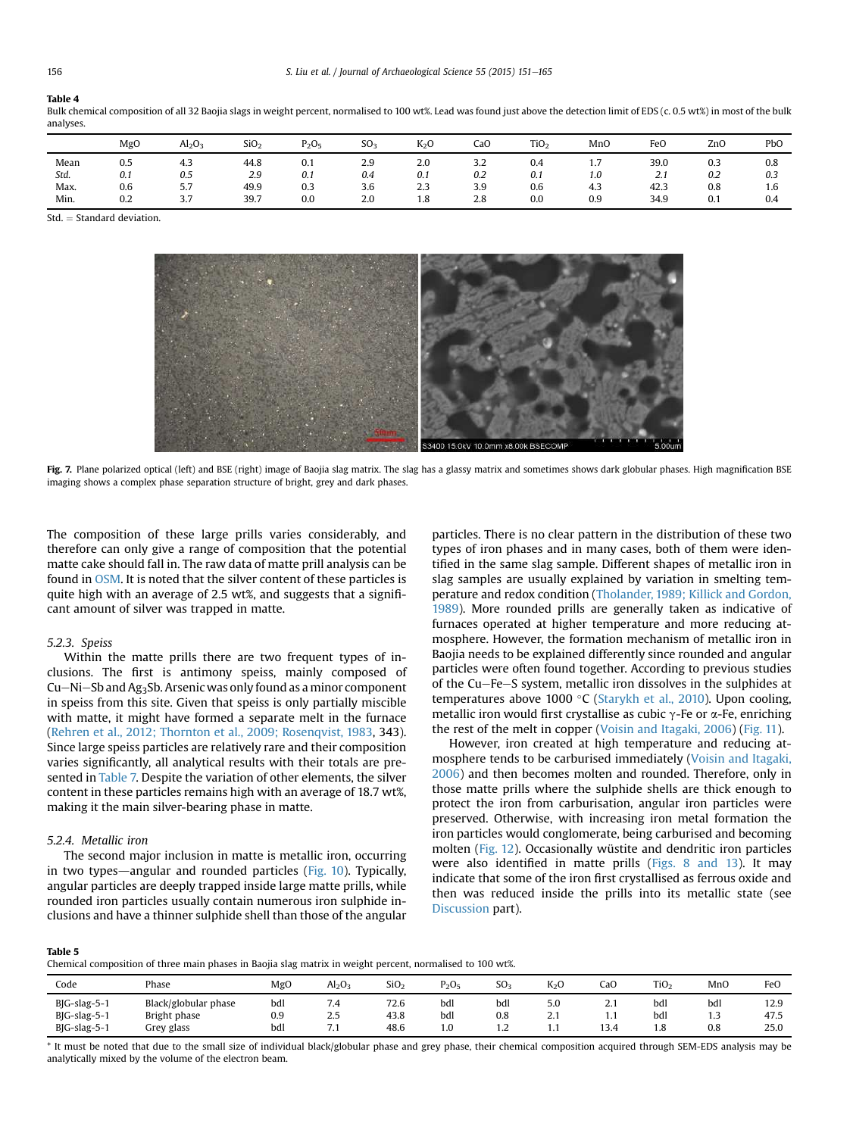<span id="page-5-0"></span>Bulk chemical composition of all 32 Baojia slags in weight percent, normalised to 100 wt%. Lead was found just above the detection limit of EDS (c. 0.5 wt%) in most of the bulk analyses.

|      | MgO | $\text{Al}_2\text{O}_3$ | SiO <sub>2</sub> | $P_2O_5$ | SO <sub>3</sub> | K <sub>2</sub> O | CaO | TiO <sub>2</sub> | MnO | FeO  | ZnO | PbO |
|------|-----|-------------------------|------------------|----------|-----------------|------------------|-----|------------------|-----|------|-----|-----|
| Mean | 0.5 | 4.3                     | 44.8             | 0.1      | 2.9             | 2.0              | 3.2 | 0.4              | 1.1 | 39.0 | 0.3 | 0.8 |
| Std. | 0.1 | 0.5                     | 2.9              | 0.1      | 0.4             | 0.1              | 0.2 | 0.1              | 1.0 | 2.1  | 0.2 | 0.3 |
| Max. | 0.6 | 5.7                     | 49.9             | 0.3      | 3.6             | 2.3              | 3.9 | 0.6              | 4.3 | 42.3 | 0.8 | 1.6 |
| Min. | 0.2 | 27<br>ر.ر               | 39.7             | 0.0      | 2.0             | 1.8              | 2.8 | 0.0              | 0.9 | 34.9 | 0.1 | 0.4 |

Std. ¼ Standard deviation.



Fig. 7. Plane polarized optical (left) and BSE (right) image of Baojia slag matrix. The slag has a glassy matrix and sometimes shows dark globular phases. High magnification BSE imaging shows a complex phase separation structure of bright, grey and dark phases.

The composition of these large prills varies considerably, and therefore can only give a range of composition that the potential matte cake should fall in. The raw data of matte prill analysis can be found in OSM. It is noted that the silver content of these particles is quite high with an average of 2.5 wt%, and suggests that a significant amount of silver was trapped in matte.

#### 5.2.3. Speiss

Within the matte prills there are two frequent types of inclusions. The first is antimony speiss, mainly composed of Cu–Ni–Sb and Ag<sub>3</sub>Sb. Arsenic was only found as a minor component in speiss from this site. Given that speiss is only partially miscible with matte, it might have formed a separate melt in the furnace ([Rehren et al., 2012; Thornton et al., 2009; Rosenqvist, 1983](#page-13-0), 343). Since large speiss particles are relatively rare and their composition varies significantly, all analytical results with their totals are presented in [Table 7.](#page-6-0) Despite the variation of other elements, the silver content in these particles remains high with an average of 18.7 wt%, making it the main silver-bearing phase in matte.

#### 5.2.4. Metallic iron

The second major inclusion in matte is metallic iron, occurring in two types—angular and rounded particles ( $Fig. 10$ ). Typically, angular particles are deeply trapped inside large matte prills, while rounded iron particles usually contain numerous iron sulphide inclusions and have a thinner sulphide shell than those of the angular particles. There is no clear pattern in the distribution of these two types of iron phases and in many cases, both of them were identified in the same slag sample. Different shapes of metallic iron in slag samples are usually explained by variation in smelting temperature and redox condition ([Tholander, 1989; Killick and Gordon,](#page-13-0) [1989](#page-13-0)). More rounded prills are generally taken as indicative of furnaces operated at higher temperature and more reducing atmosphere. However, the formation mechanism of metallic iron in Baojia needs to be explained differently since rounded and angular particles were often found together. According to previous studies of the Cu-Fe-S system, metallic iron dissolves in the sulphides at temperatures above 1000 °C ([Starykh et al., 2010\)](#page-13-0). Upon cooling, metallic iron would first crystallise as cubic  $\gamma$ -Fe or  $\alpha$ -Fe, enriching the rest of the melt in copper [\(Voisin and Itagaki, 2006](#page-14-0)) ([Fig. 11\)](#page-8-0).

However, iron created at high temperature and reducing atmosphere tends to be carburised immediately ([Voisin and Itagaki,](#page-14-0) [2006](#page-14-0)) and then becomes molten and rounded. Therefore, only in those matte prills where the sulphide shells are thick enough to protect the iron from carburisation, angular iron particles were preserved. Otherwise, with increasing iron metal formation the iron particles would conglomerate, being carburised and becoming molten ([Fig. 12](#page-8-0)). Occasionally wüstite and dendritic iron particles were also identified in matte prills [\(Figs. 8 and 13\)](#page-6-0). It may indicate that some of the iron first crystallised as ferrous oxide and then was reduced inside the prills into its metallic state (see [Discussion](#page-8-0) part).

Table 5

Chemical composition of three main phases in Baojia slag matrix in weight percent, normalised to 100 wt%.

|                                                             |                                                    | $\sim$            | $\tilde{}$                                        |                      |                   |                   |                 |                      |                   |                   |                      |
|-------------------------------------------------------------|----------------------------------------------------|-------------------|---------------------------------------------------|----------------------|-------------------|-------------------|-----------------|----------------------|-------------------|-------------------|----------------------|
| Code                                                        | Phase                                              | MgO               | Al <sub>2</sub> O <sub>3</sub>                    | SiO <sub>2</sub>     | $P_2O_5$          | SO <sub>3</sub>   | $K_2C$          | CaC                  | TiO <sub>2</sub>  | MnO               | FeO                  |
| $B$ $G$ -slag-5-1<br>$B$ $G$ -slag-5-1<br>$B$ $G$ -slag-5-1 | Black/globular phase<br>Bright phase<br>Grey glass | bdl<br>0.9<br>bdl | -<br>7.4<br>$\sim$ $-$<br>ر…<br>$\sim$<br>$\cdot$ | 72.6<br>43.8<br>48.6 | bdl<br>bdl<br>1.0 | bdl<br>0.8<br>1.4 | 5.0<br>. .<br>. | <u></u><br>.<br>13.4 | bdl<br>bdl<br>1.8 | bdl<br>1.3<br>0.8 | 12.9<br>47.5<br>25.0 |

\* It must be noted that due to the small size of individual black/globular phase and grey phase, their chemical composition acquired through SEM-EDS analysis may be analytically mixed by the volume of the electron beam.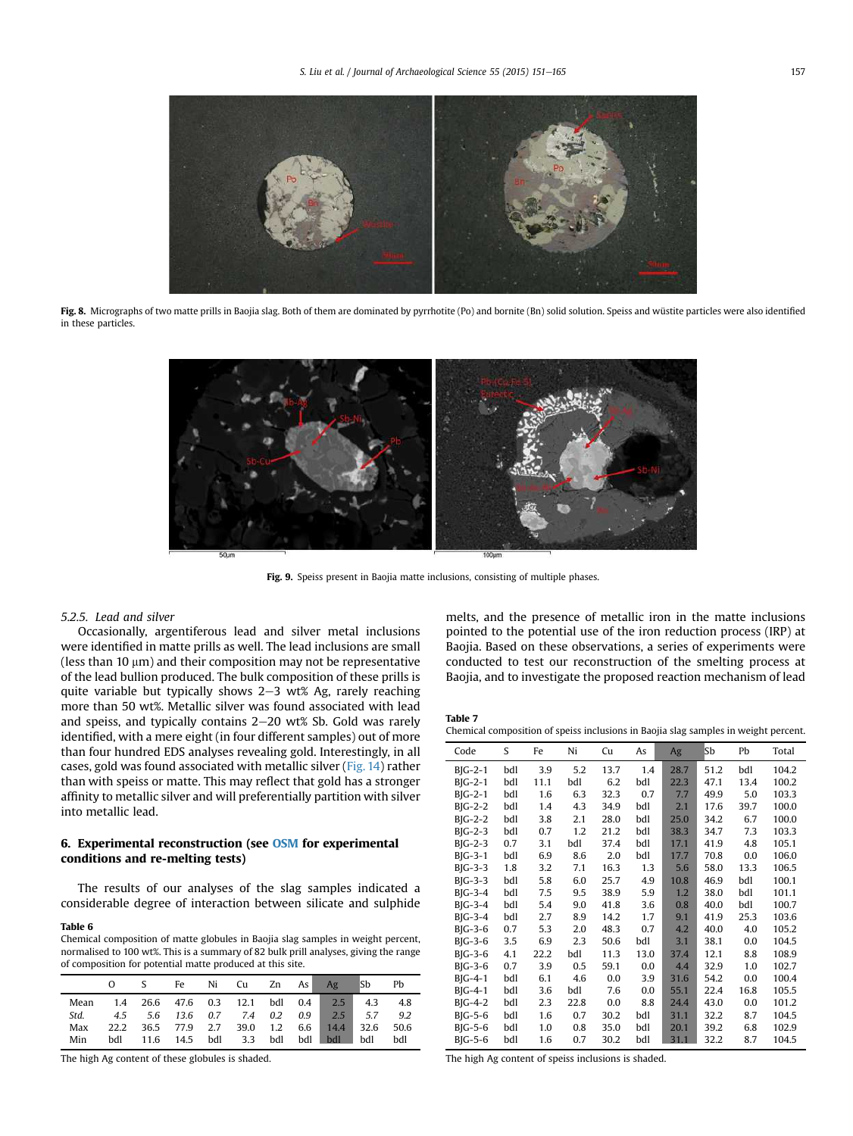<span id="page-6-0"></span>

Fig. 8. Micrographs of two matte prills in Baojia slag. Both of them are dominated by pyrrhotite (Po) and bornite (Bn) solid solution. Speiss and wüstite particles were also identified in these particles.



Fig. 9. Speiss present in Baojia matte inclusions, consisting of multiple phases.

### 5.2.5. Lead and silver

Occasionally, argentiferous lead and silver metal inclusions were identified in matte prills as well. The lead inclusions are small (less than 10  $\mu$ m) and their composition may not be representative of the lead bullion produced. The bulk composition of these prills is quite variable but typically shows  $2-3$  wt% Ag, rarely reaching more than 50 wt%. Metallic silver was found associated with lead and speiss, and typically contains  $2-20$  wt% Sb. Gold was rarely identified, with a mere eight (in four different samples) out of more than four hundred EDS analyses revealing gold. Interestingly, in all cases, gold was found associated with metallic silver [\(Fig. 14](#page-9-0)) rather than with speiss or matte. This may reflect that gold has a stronger affinity to metallic silver and will preferentially partition with silver into metallic lead.

# 6. Experimental reconstruction (see OSM for experimental conditions and re-melting tests)

The results of our analyses of the slag samples indicated a considerable degree of interaction between silicate and sulphide

#### Table 6

Chemical composition of matte globules in Baojia slag samples in weight percent, normalised to 100 wt%. This is a summary of 82 bulk prill analyses, giving the range of composition for potential matte produced at this site.

|      |  |  | Fe Ni Cu Zn As Ag |  |                                           | lSb | Ph   |
|------|--|--|-------------------|--|-------------------------------------------|-----|------|
| Mean |  |  |                   |  | 1.4 26.6 47.6 0.3 12.1 bdl 0.4 2.5 4.3    |     | -4.8 |
| Std. |  |  |                   |  | 4.5 5.6 13.6 0.7 7.4 0.2 0.9 2.5 5.7      |     | 9.2  |
| Max  |  |  |                   |  | 22.2 36.5 77.9 2.7 39.0 1.2 6.6 14.4 32.6 |     | 50.6 |
| Min  |  |  |                   |  | bdl 11.6 14.5 bdl 3.3 bdl bdl bdl bdl     |     | bdl  |

The high Ag content of these globules is shaded.

melts, and the presence of metallic iron in the matte inclusions pointed to the potential use of the iron reduction process (IRP) at Baojia. Based on these observations, a series of experiments were conducted to test our reconstruction of the smelting process at Baojia, and to investigate the proposed reaction mechanism of lead

Table 7

Chemical composition of speiss inclusions in Baojia slag samples in weight percent.

| Code                   | S   | Fe   | Ni   | Cu   | As   | Ag   | Sb   | Pb   | Total |
|------------------------|-----|------|------|------|------|------|------|------|-------|
| $B$ $G-2-1$            | bdl | 3.9  | 5.2  | 13.7 | 1.4  | 28.7 | 51.2 | bdl  | 104.2 |
| $B$ $G-2-1$            | bdl | 11.1 | bdl  | 6.2  | bdl  | 22.3 | 47.1 | 13.4 | 100.2 |
| $B$ $G-2-1$            | bdl | 1.6  | 6.3  | 32.3 | 0.7  | 7.7  | 49.9 | 5.0  | 103.3 |
| $B$ $G-2-2$            | bdl | 1.4  | 4.3  | 34.9 | bdl  | 2.1  | 17.6 | 39.7 | 100.0 |
| $B$ <sub>I</sub> G-2-2 | bdl | 3.8  | 2.1  | 28.0 | bdl  | 25.0 | 34.2 | 6.7  | 100.0 |
| $B$ <sub>I</sub> G-2-3 | bdl | 0.7  | 1.2  | 21.2 | bdl  | 38.3 | 34.7 | 7.3  | 103.3 |
| $B$ <sub>I</sub> G-2-3 | 0.7 | 3.1  | bdl  | 37.4 | bdl  | 17.1 | 41.9 | 4.8  | 105.1 |
| $B$ $G-3-1$            | bdl | 6.9  | 8.6  | 2.0  | bdl  | 17.7 | 70.8 | 0.0  | 106.0 |
| $B$ <sub>I</sub> G-3-3 | 1.8 | 3.2  | 7.1  | 16.3 | 1.3  | 5.6  | 58.0 | 13.3 | 106.5 |
| $B$ <sub>I</sub> G-3-3 | bdl | 5.8  | 6.0  | 25.7 | 4.9  | 10.8 | 46.9 | bdl  | 100.1 |
| $B$ <sub>I</sub> G-3-4 | bdl | 7.5  | 9.5  | 38.9 | 5.9  | 1.2  | 38.0 | bdl  | 101.1 |
| $B$ <sub>I</sub> G-3-4 | bdl | 5.4  | 9.0  | 41.8 | 3.6  | 0.8  | 40.0 | bdl  | 100.7 |
| $B$ <sub>I</sub> G-3-4 | bdl | 2.7  | 8.9  | 14.2 | 1.7  | 9.1  | 41.9 | 25.3 | 103.6 |
| $B$ <sub>I</sub> G-3-6 | 0.7 | 5.3  | 2.0  | 48.3 | 0.7  | 4.2  | 40.0 | 4.0  | 105.2 |
| $B$ <sub>I</sub> G-3-6 | 3.5 | 6.9  | 2.3  | 50.6 | bdl  | 3.1  | 38.1 | 0.0  | 104.5 |
| $B$ <sub>I</sub> G-3-6 | 4.1 | 22.2 | bdl  | 11.3 | 13.0 | 37.4 | 12.1 | 8.8  | 108.9 |
| $B$ <sub>I</sub> G-3-6 | 0.7 | 3.9  | 0.5  | 59.1 | 0.0  | 4.4  | 32.9 | 1.0  | 102.7 |
| $B$ $G-4-1$            | bdl | 6.1  | 4.6  | 0.0  | 3.9  | 31.6 | 54.2 | 0.0  | 100.4 |
| $B$ $G-4-1$            | bdl | 3.6  | bdl  | 7.6  | 0.0  | 55.1 | 22.4 | 16.8 | 105.5 |
| $B$ <sub>I</sub> G-4-2 | bdl | 2.3  | 22.8 | 0.0  | 8.8  | 24.4 | 43.0 | 0.0  | 101.2 |
| $B$ $G-5-6$            | bdl | 1.6  | 0.7  | 30.2 | bdl  | 31.1 | 32.2 | 8.7  | 104.5 |
| $B$ $G-5-6$            | bdl | 1.0  | 0.8  | 35.0 | bdl  | 20.1 | 39.2 | 6.8  | 102.9 |
| $B$ $G-5-6$            | bdl | 1.6  | 0.7  | 30.2 | bdl  | 31.1 | 32.2 | 8.7  | 104.5 |
|                        |     |      |      |      |      |      |      |      |       |

The high Ag content of speiss inclusions is shaded.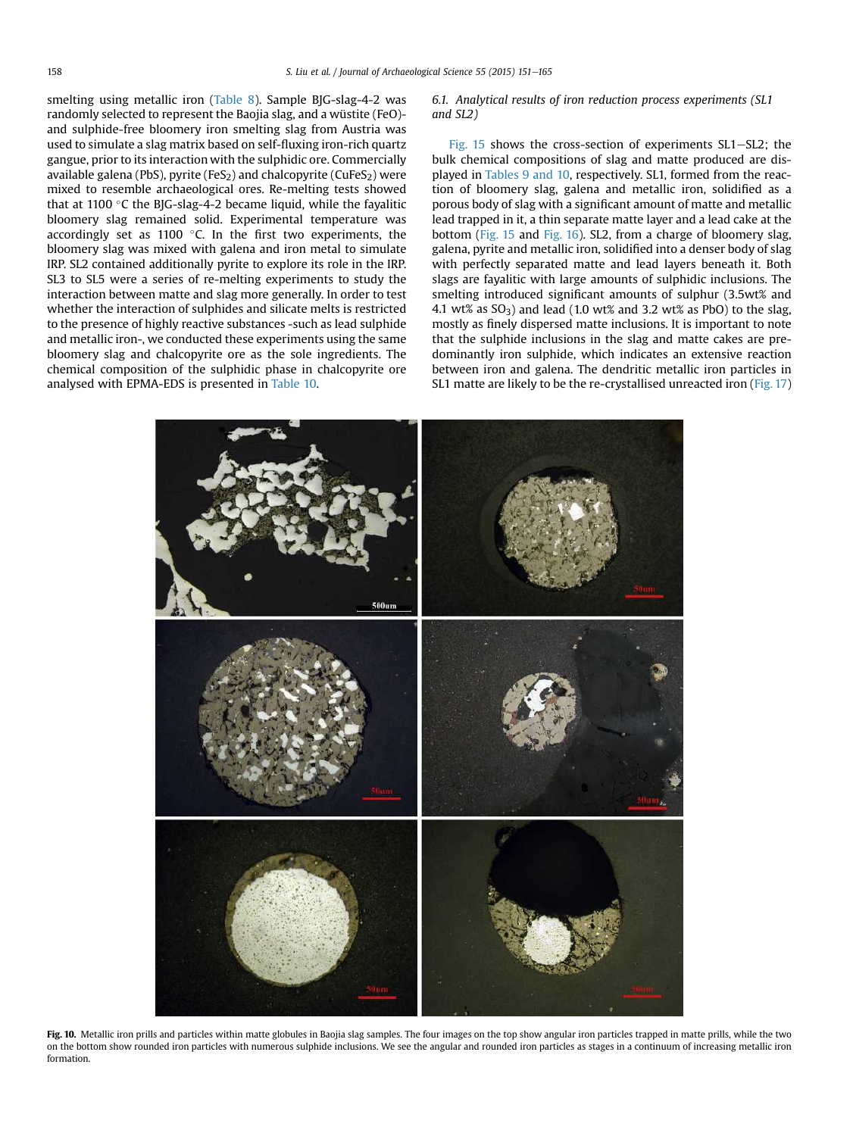<span id="page-7-0"></span>smelting using metallic iron ([Table 8\)](#page-9-0). Sample BJG-slag-4-2 was randomly selected to represent the Baojia slag, and a wüstite (FeO) and sulphide-free bloomery iron smelting slag from Austria was used to simulate a slag matrix based on self-fluxing iron-rich quartz gangue, prior to its interaction with the sulphidic ore. Commercially available galena (PbS), pyrite (FeS<sub>2</sub>) and chalcopyrite (CuFeS<sub>2</sub>) were mixed to resemble archaeological ores. Re-melting tests showed that at 1100 °C the BJG-slag-4-2 became liquid, while the fayalitic bloomery slag remained solid. Experimental temperature was accordingly set as  $1100$  °C. In the first two experiments, the bloomery slag was mixed with galena and iron metal to simulate IRP. SL2 contained additionally pyrite to explore its role in the IRP. SL3 to SL5 were a series of re-melting experiments to study the interaction between matte and slag more generally. In order to test whether the interaction of sulphides and silicate melts is restricted to the presence of highly reactive substances -such as lead sulphide and metallic iron-, we conducted these experiments using the same bloomery slag and chalcopyrite ore as the sole ingredients. The chemical composition of the sulphidic phase in chalcopyrite ore analysed with EPMA-EDS is presented in [Table 10.](#page-10-0)

6.1. Analytical results of iron reduction process experiments (SL1 and SL2)

[Fig. 15](#page-10-0) shows the cross-section of experiments  $SL1-SL2$ ; the bulk chemical compositions of slag and matte produced are displayed in [Tables 9 and 10,](#page-10-0) respectively. SL1, formed from the reaction of bloomery slag, galena and metallic iron, solidified as a porous body of slag with a significant amount of matte and metallic lead trapped in it, a thin separate matte layer and a lead cake at the bottom [\(Fig. 15](#page-10-0) and [Fig. 16](#page-11-0)). SL2, from a charge of bloomery slag, galena, pyrite and metallic iron, solidified into a denser body of slag with perfectly separated matte and lead layers beneath it. Both slags are fayalitic with large amounts of sulphidic inclusions. The smelting introduced significant amounts of sulphur (3.5wt% and 4.1 wt% as  $SO_3$ ) and lead (1.0 wt% and 3.2 wt% as PbO) to the slag, mostly as finely dispersed matte inclusions. It is important to note that the sulphide inclusions in the slag and matte cakes are predominantly iron sulphide, which indicates an extensive reaction between iron and galena. The dendritic metallic iron particles in SL1 matte are likely to be the re-crystallised unreacted iron ([Fig. 17\)](#page-11-0)



Fig. 10. Metallic iron prills and particles within matte globules in Baojia slag samples. The four images on the top show angular iron particles trapped in matte prills, while the two on the bottom show rounded iron particles with numerous sulphide inclusions. We see the angular and rounded iron particles as stages in a continuum of increasing metallic iron formation.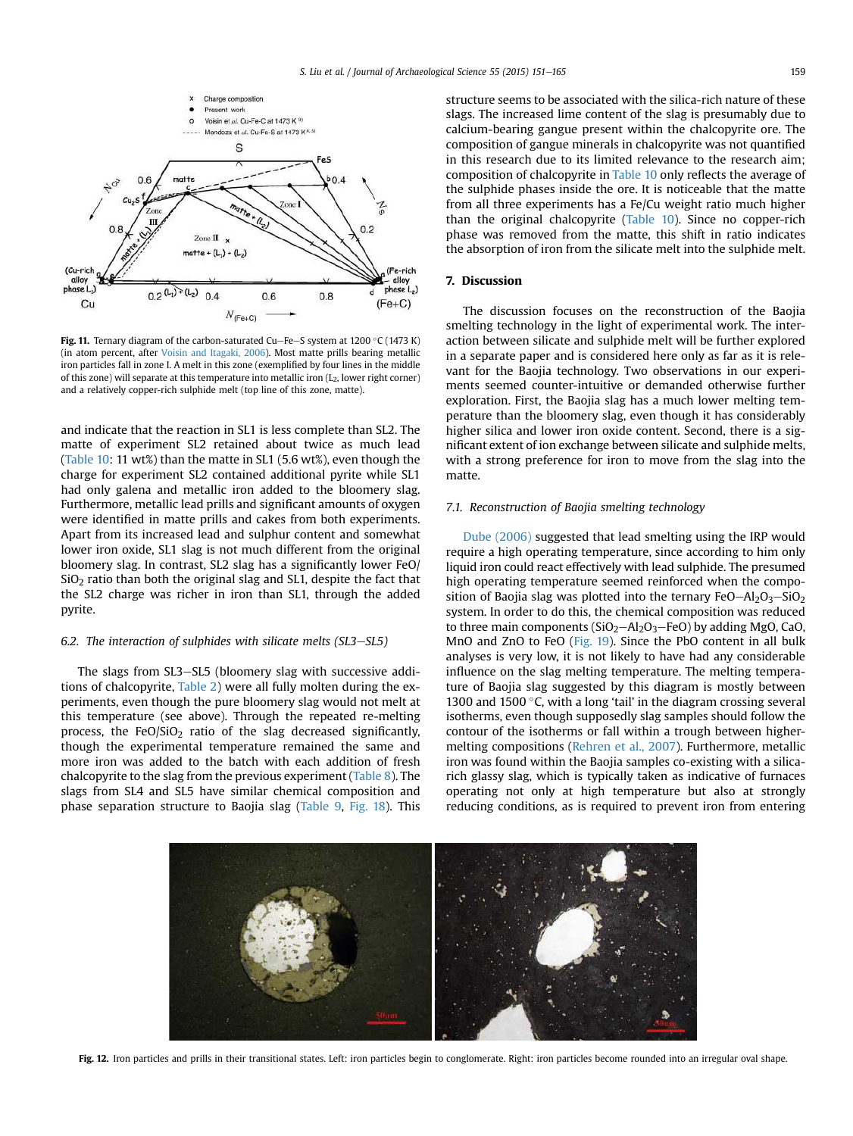<span id="page-8-0"></span>

Fig. 11. Ternary diagram of the carbon-saturated Cu-Fe-S system at 1200 °C (1473 K) (in atom percent, after [Voisin and Itagaki, 2006](#page-14-0)). Most matte prills bearing metallic iron particles fall in zone I. A melt in this zone (exemplified by four lines in the middle of this zone) will separate at this temperature into metallic iron  $(L_2,$  lower right corner) and a relatively copper-rich sulphide melt (top line of this zone, matte).

and indicate that the reaction in SL1 is less complete than SL2. The matte of experiment SL2 retained about twice as much lead ([Table 10](#page-10-0): 11 wt%) than the matte in SL1 (5.6 wt%), even though the charge for experiment SL2 contained additional pyrite while SL1 had only galena and metallic iron added to the bloomery slag. Furthermore, metallic lead prills and significant amounts of oxygen were identified in matte prills and cakes from both experiments. Apart from its increased lead and sulphur content and somewhat lower iron oxide, SL1 slag is not much different from the original bloomery slag. In contrast, SL2 slag has a significantly lower FeO/  $SiO<sub>2</sub>$  ratio than both the original slag and SL1, despite the fact that the SL2 charge was richer in iron than SL1, through the added pyrite.

#### 6.2. The interaction of sulphides with silicate melts  $(SL3-SL5)$

The slags from SL3-SL5 (bloomery slag with successive additions of chalcopyrite, [Table 2\)](#page-4-0) were all fully molten during the experiments, even though the pure bloomery slag would not melt at this temperature (see above). Through the repeated re-melting process, the FeO/SiO<sub>2</sub> ratio of the slag decreased significantly, though the experimental temperature remained the same and more iron was added to the batch with each addition of fresh chalcopyrite to the slag from the previous experiment ([Table 8](#page-9-0)). The slags from SL4 and SL5 have similar chemical composition and phase separation structure to Baojia slag ([Table 9](#page-10-0), [Fig. 18](#page-12-0)). This structure seems to be associated with the silica-rich nature of these slags. The increased lime content of the slag is presumably due to calcium-bearing gangue present within the chalcopyrite ore. The composition of gangue minerals in chalcopyrite was not quantified in this research due to its limited relevance to the research aim; composition of chalcopyrite in [Table 10](#page-10-0) only reflects the average of the sulphide phases inside the ore. It is noticeable that the matte from all three experiments has a Fe/Cu weight ratio much higher than the original chalcopyrite [\(Table 10\)](#page-10-0). Since no copper-rich phase was removed from the matte, this shift in ratio indicates the absorption of iron from the silicate melt into the sulphide melt.

# 7. Discussion

The discussion focuses on the reconstruction of the Baojia smelting technology in the light of experimental work. The interaction between silicate and sulphide melt will be further explored in a separate paper and is considered here only as far as it is relevant for the Baojia technology. Two observations in our experiments seemed counter-intuitive or demanded otherwise further exploration. First, the Baojia slag has a much lower melting temperature than the bloomery slag, even though it has considerably higher silica and lower iron oxide content. Second, there is a significant extent of ion exchange between silicate and sulphide melts, with a strong preference for iron to move from the slag into the matte.

# 7.1. Reconstruction of Baojia smelting technology

[Dube \(2006\)](#page-13-0) suggested that lead smelting using the IRP would require a high operating temperature, since according to him only liquid iron could react effectively with lead sulphide. The presumed high operating temperature seemed reinforced when the composition of Baojia slag was plotted into the ternary  $FeO-Al_2O_3-SiO_2$ system. In order to do this, the chemical composition was reduced to three main components ( $SiO<sub>2</sub> - Al<sub>2</sub>O<sub>3</sub> - FeO$ ) by adding MgO, CaO, MnO and ZnO to FeO ([Fig. 19](#page-12-0)). Since the PbO content in all bulk analyses is very low, it is not likely to have had any considerable influence on the slag melting temperature. The melting temperature of Baojia slag suggested by this diagram is mostly between 1300 and 1500 $\degree$ C, with a long 'tail' in the diagram crossing several isotherms, even though supposedly slag samples should follow the contour of the isotherms or fall within a trough between highermelting compositions ([Rehren et al., 2007](#page-13-0)). Furthermore, metallic iron was found within the Baojia samples co-existing with a silicarich glassy slag, which is typically taken as indicative of furnaces operating not only at high temperature but also at strongly reducing conditions, as is required to prevent iron from entering



Fig. 12. Iron particles and prills in their transitional states. Left: iron particles begin to conglomerate. Right: iron particles become rounded into an irregular oval shape.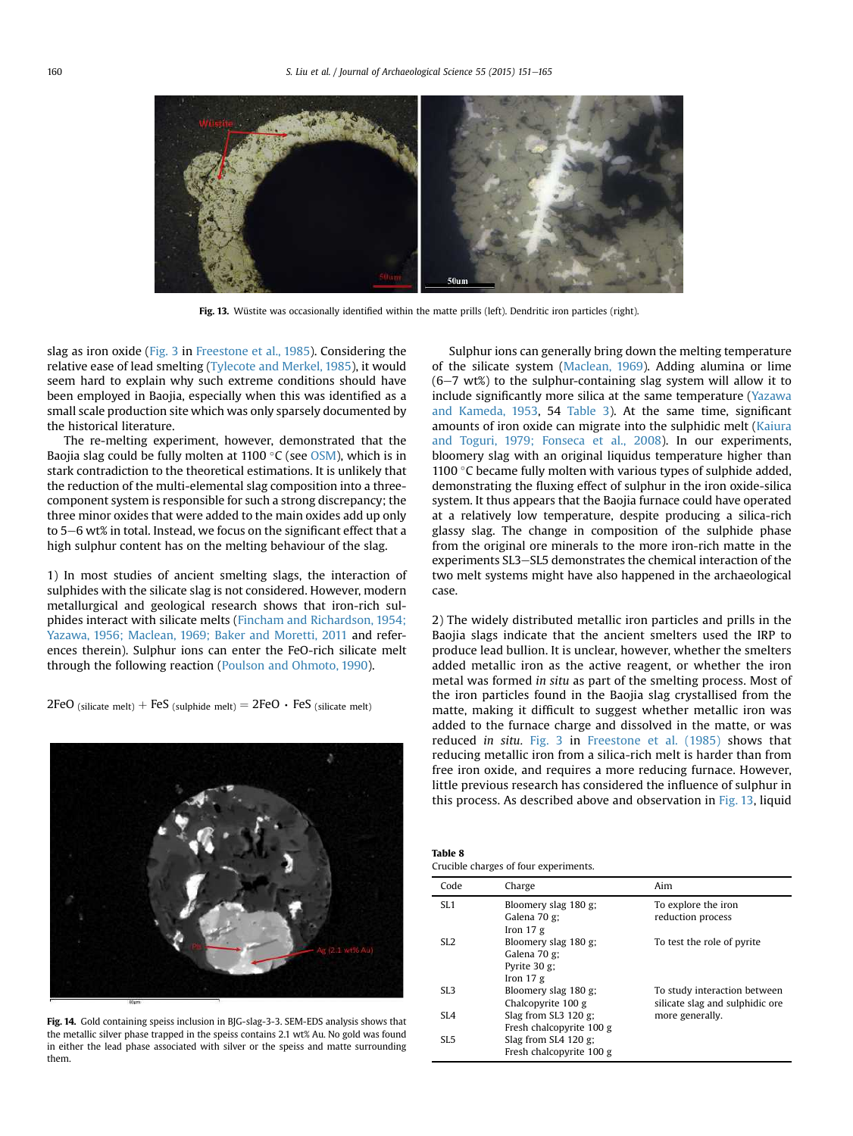<span id="page-9-0"></span>

Fig. 13. Wüstite was occasionally identified within the matte prills (left). Dendritic iron particles (right).

slag as iron oxide [\(Fig. 3](#page-2-0) in [Freestone et al., 1985\)](#page-13-0). Considering the relative ease of lead smelting [\(Tylecote and Merkel, 1985](#page-14-0)), it would seem hard to explain why such extreme conditions should have been employed in Baojia, especially when this was identified as a small scale production site which was only sparsely documented by the historical literature.

The re-melting experiment, however, demonstrated that the Baojia slag could be fully molten at 1100 °C (see OSM), which is in stark contradiction to the theoretical estimations. It is unlikely that the reduction of the multi-elemental slag composition into a threecomponent system is responsible for such a strong discrepancy; the three minor oxides that were added to the main oxides add up only to 5-6 wt% in total. Instead, we focus on the significant effect that a high sulphur content has on the melting behaviour of the slag.

1) In most studies of ancient smelting slags, the interaction of sulphides with the silicate slag is not considered. However, modern metallurgical and geological research shows that iron-rich sulphides interact with silicate melts [\(Fincham and Richardson, 1954;](#page-13-0) [Yazawa, 1956; Maclean, 1969; Baker and Moretti, 2011](#page-13-0) and references therein). Sulphur ions can enter the FeO-rich silicate melt through the following reaction ([Poulson and Ohmoto, 1990\)](#page-13-0).

2FeO (silicate melt) + FeS (sulphide melt) =  $2FeO \cdot FeS$  (silicate melt)



Fig. 14. Gold containing speiss inclusion in BJG-slag-3-3. SEM-EDS analysis shows that the metallic silver phase trapped in the speiss contains 2.1 wt% Au. No gold was found in either the lead phase associated with silver or the speiss and matte surrounding them.

Sulphur ions can generally bring down the melting temperature of the silicate system ([Maclean, 1969](#page-13-0)). Adding alumina or lime  $(6-7 \text{ wt})$  to the sulphur-containing slag system will allow it to include significantly more silica at the same temperature ([Yazawa](#page-14-0) [and Kameda, 1953,](#page-14-0) 54 [Table 3\)](#page-4-0). At the same time, significant amounts of iron oxide can migrate into the sulphidic melt [\(Kaiura](#page-13-0) [and Toguri, 1979; Fonseca et al., 2008\)](#page-13-0). In our experiments, bloomery slag with an original liquidus temperature higher than 1100  $\degree$ C became fully molten with various types of sulphide added, demonstrating the fluxing effect of sulphur in the iron oxide-silica system. It thus appears that the Baojia furnace could have operated at a relatively low temperature, despite producing a silica-rich glassy slag. The change in composition of the sulphide phase from the original ore minerals to the more iron-rich matte in the experiments SL3-SL5 demonstrates the chemical interaction of the two melt systems might have also happened in the archaeological case.

2) The widely distributed metallic iron particles and prills in the Baojia slags indicate that the ancient smelters used the IRP to produce lead bullion. It is unclear, however, whether the smelters added metallic iron as the active reagent, or whether the iron metal was formed in situ as part of the smelting process. Most of the iron particles found in the Baojia slag crystallised from the matte, making it difficult to suggest whether metallic iron was added to the furnace charge and dissolved in the matte, or was reduced in situ. [Fig. 3](#page-2-0) in [Freestone et al. \(1985\)](#page-13-0) shows that reducing metallic iron from a silica-rich melt is harder than from free iron oxide, and requires a more reducing furnace. However, little previous research has considered the influence of sulphur in this process. As described above and observation in Fig. 13, liquid

| <b>Table 8</b>                        |  |
|---------------------------------------|--|
| Crucible charges of four experiments. |  |

| Code            | Charge                   | Aim                             |
|-----------------|--------------------------|---------------------------------|
| SL1             | Bloomery slag 180 g;     | To explore the iron             |
|                 | Galena 70 g;             | reduction process               |
|                 | Iron $17g$               |                                 |
| SL <sub>2</sub> | Bloomery slag 180 g;     | To test the role of pyrite      |
|                 | Galena 70 g;             |                                 |
|                 | Pyrite $30 g$ ;          |                                 |
|                 | Iron $17g$               |                                 |
| SL <sub>3</sub> | Bloomery slag 180 g;     | To study interaction between    |
|                 | Chalcopyrite 100 g       | silicate slag and sulphidic ore |
| SL <sub>4</sub> | Slag from SL3 120 $g$ ;  | more generally.                 |
|                 | Fresh chalcopyrite 100 g |                                 |
| SL <sub>5</sub> | Slag from SL4 120 $g$ ;  |                                 |
|                 | Fresh chalcopyrite 100 g |                                 |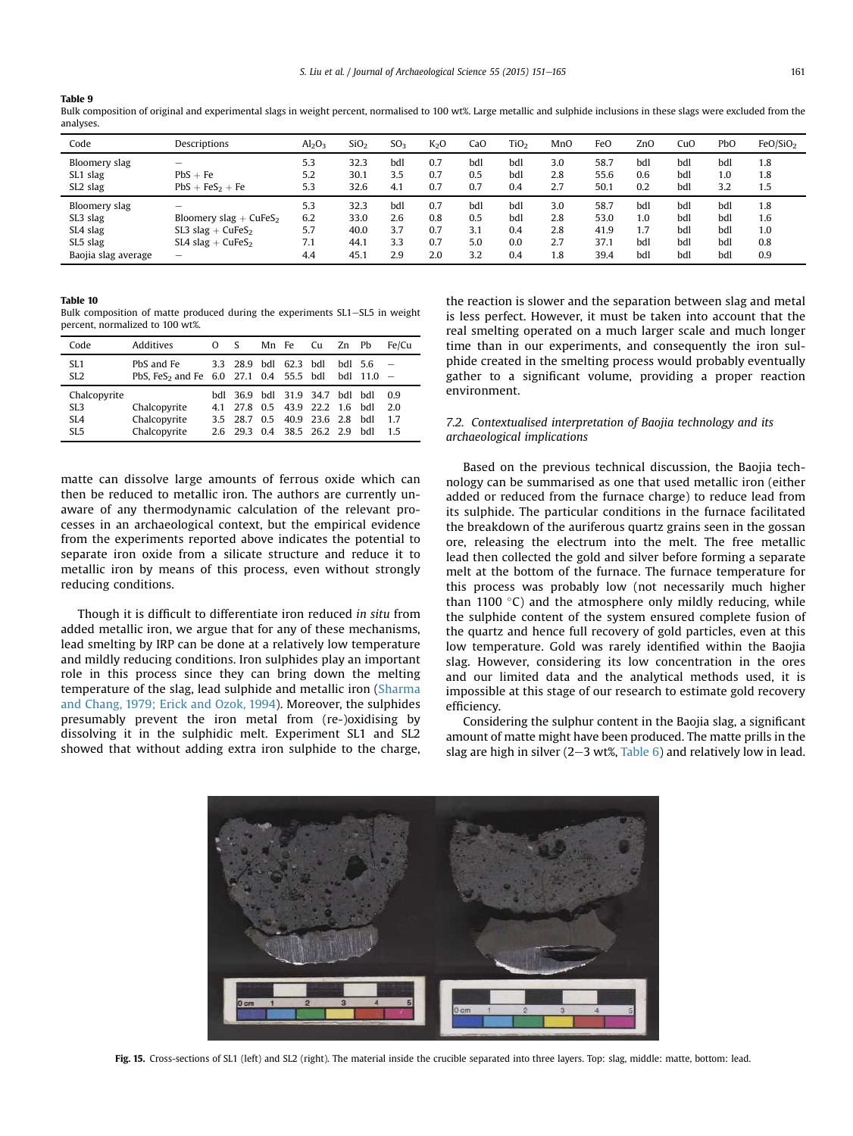<span id="page-10-0"></span>Bulk composition of original and experimental slags in weight percent, normalised to 100 wt%. Large metallic and sulphide inclusions in these slags were excluded from the analyses.

| Code                | Descriptions             | Al <sub>2</sub> O <sub>3</sub> | SiO <sub>2</sub> | SO <sub>3</sub> | K <sub>2</sub> O | CaO | TiO <sub>2</sub> | MnO | FeO  | ZnO | CuO | PbO | FeO/SiO <sub>2</sub> |
|---------------------|--------------------------|--------------------------------|------------------|-----------------|------------------|-----|------------------|-----|------|-----|-----|-----|----------------------|
| Bloomery slag       | -                        | 5.3                            | 32.3             | bdl             | 0.7              | bdl | bdl              | 3.0 | 58.7 | bdl | bdl | bdl | 1.8                  |
| SL1 slag            | $PbS + Fe$               | 5.2                            | 30.1             | 3.5             | 0.7              | 0.5 | bdl              | 2.8 | 55.6 | 0.6 | bdl | 1.0 | 1.8                  |
| SL2 slag            | $PbS + FeS2 + Fe$        | 5.3                            | 32.6             | 4.1             | 0.7              | 0.7 | 0.4              | 2.7 | 50.1 | 0.2 | bdl | 3.2 | 1.5                  |
| Bloomery slag       | -                        | 5.3                            | 32.3             | bdl             | 0.7              | bdl | bdl              | 3.0 | 58.7 | bdl | bdl | bdl | 1.8                  |
| SL3 slag            | Bloomery slag + $CuFeS2$ | 6.2                            | 33.0             | 2.6             | 0.8              | 0.5 | bdl              | 2.8 | 53.0 | 1.0 | bdl | bdl | 1.6                  |
| SL4 slag            | SL3 slag + $CuFeS2$      | 5.7                            | 40.0             | 3.7             | 0.7              | 3.1 | 0.4              | 2.8 | 41.9 | 1.7 | bdl | bdl | 1.0                  |
| SL5 slag            | SL4 slag + $CuFeS2$      | 7.1                            | 44.1             | 3.3             | 0.7              | 5.0 | 0.0              | 2.7 | 37.1 | bdl | bdl | bdl | 0.8                  |
| Baojia slag average | -                        | 4.4                            | 45.1             | 2.9             | 2.0              | 3.2 | 0.4              | 1.8 | 39.4 | bdl | bdl | bdl | 0.9                  |

#### Table 10

Bulk composition of matte produced during the experiments SL1-SL5 in weight percent, normalized to 100 wt%.

| Code                                                                  | Additives                                                        | O  | <sub>S</sub>                                                                                         | Mn Fe | Cu            | Zn | Ph                    | Fe/Cu                 |
|-----------------------------------------------------------------------|------------------------------------------------------------------|----|------------------------------------------------------------------------------------------------------|-------|---------------|----|-----------------------|-----------------------|
| SL <sub>1</sub><br>SL <sub>2</sub>                                    | PbS and Fe<br>PbS. FeS <sub>2</sub> and Fe 6.0 27.1 0.4 55.5 bdl |    | 3.3 28.9 hdl 62.3 hdl                                                                                |       |               |    | $bdl$ 5.6<br>bdl 11.0 |                       |
| Chalcopyrite<br>SL <sub>3</sub><br>SL <sub>4</sub><br>SL <sub>5</sub> | Chalcopyrite<br>Chalcopyrite<br>Chalcopyrite                     | 41 | bdl 36.9 bdl 31.9 34.7 bdl bdl<br>27.8 0.5 43.9 22.2 1.6 hdl<br>35 287<br>2.6 29.3 0.4 38.5 26.2 2.9 | 0.5   | 40.9 23.6 2.8 |    | hdl<br>hdl            | 0.9<br>20<br>17<br>15 |

matte can dissolve large amounts of ferrous oxide which can then be reduced to metallic iron. The authors are currently unaware of any thermodynamic calculation of the relevant processes in an archaeological context, but the empirical evidence from the experiments reported above indicates the potential to separate iron oxide from a silicate structure and reduce it to metallic iron by means of this process, even without strongly reducing conditions.

Though it is difficult to differentiate iron reduced in situ from added metallic iron, we argue that for any of these mechanisms, lead smelting by IRP can be done at a relatively low temperature and mildly reducing conditions. Iron sulphides play an important role in this process since they can bring down the melting temperature of the slag, lead sulphide and metallic iron [\(Sharma](#page-13-0) [and Chang, 1979; Erick and Ozok, 1994\)](#page-13-0). Moreover, the sulphides presumably prevent the iron metal from (re-)oxidising by dissolving it in the sulphidic melt. Experiment SL1 and SL2 showed that without adding extra iron sulphide to the charge, the reaction is slower and the separation between slag and metal is less perfect. However, it must be taken into account that the real smelting operated on a much larger scale and much longer time than in our experiments, and consequently the iron sulphide created in the smelting process would probably eventually gather to a significant volume, providing a proper reaction environment.

# 7.2. Contextualised interpretation of Baojia technology and its archaeological implications

Based on the previous technical discussion, the Baojia technology can be summarised as one that used metallic iron (either added or reduced from the furnace charge) to reduce lead from its sulphide. The particular conditions in the furnace facilitated the breakdown of the auriferous quartz grains seen in the gossan ore, releasing the electrum into the melt. The free metallic lead then collected the gold and silver before forming a separate melt at the bottom of the furnace. The furnace temperature for this process was probably low (not necessarily much higher than 1100  $\degree$ C) and the atmosphere only mildly reducing, while the sulphide content of the system ensured complete fusion of the quartz and hence full recovery of gold particles, even at this low temperature. Gold was rarely identified within the Baojia slag. However, considering its low concentration in the ores and our limited data and the analytical methods used, it is impossible at this stage of our research to estimate gold recovery efficiency.

Considering the sulphur content in the Baojia slag, a significant amount of matte might have been produced. The matte prills in the slag are high in silver  $(2-3 wt\% , Table 6)$  $(2-3 wt\% , Table 6)$  $(2-3 wt\% , Table 6)$  and relatively low in lead.



Fig. 15. Cross-sections of SL1 (left) and SL2 (right). The material inside the crucible separated into three layers. Top: slag, middle: matte, bottom: lead.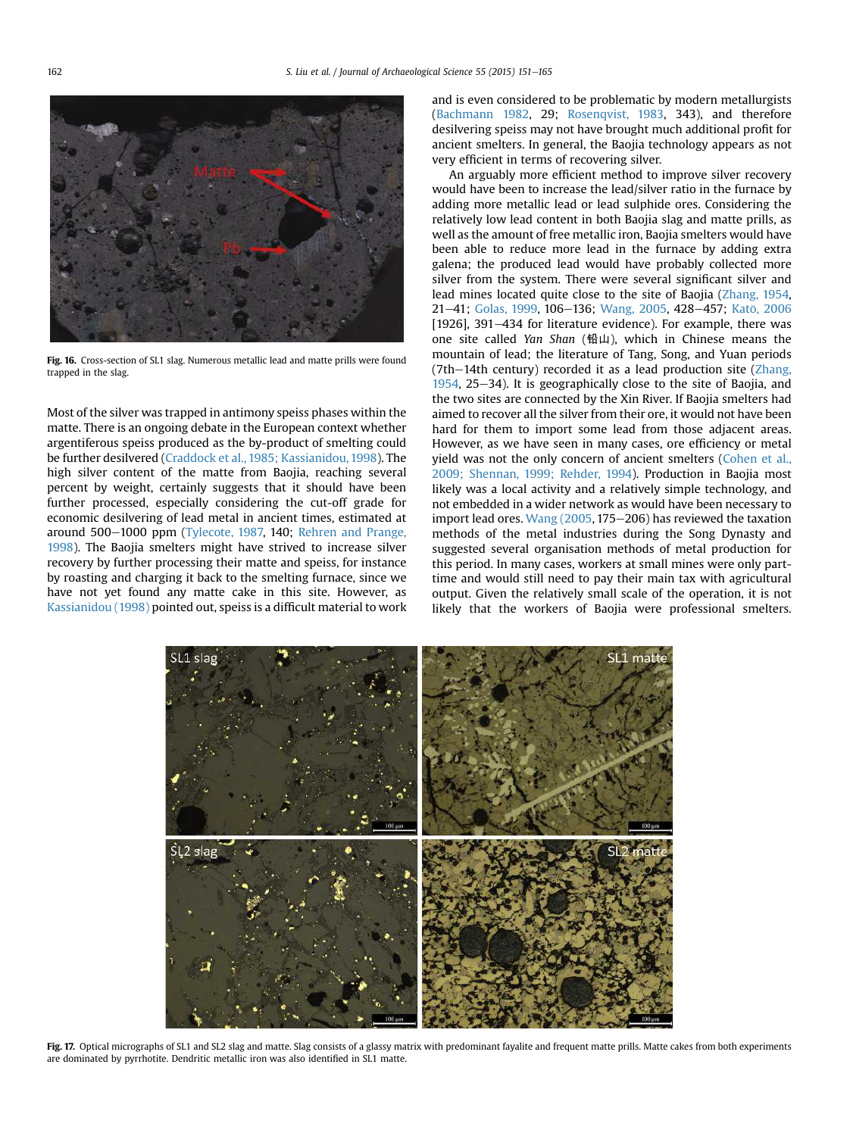<span id="page-11-0"></span>

Fig. 16. Cross-section of SL1 slag. Numerous metallic lead and matte prills were found trapped in the slag.

Most of the silver was trapped in antimony speiss phases within the matte. There is an ongoing debate in the European context whether argentiferous speiss produced as the by-product of smelting could be further desilvered ([Craddock et al., 1985; Kassianidou, 1998](#page-13-0)). The high silver content of the matte from Baojia, reaching several percent by weight, certainly suggests that it should have been further processed, especially considering the cut-off grade for economic desilvering of lead metal in ancient times, estimated at around 500-1000 ppm ([Tylecote, 1987,](#page-13-0) 140; [Rehren and Prange,](#page-13-0) [1998](#page-13-0)). The Baojia smelters might have strived to increase silver recovery by further processing their matte and speiss, for instance by roasting and charging it back to the smelting furnace, since we have not yet found any matte cake in this site. However, as [Kassianidou \(1998\)](#page-13-0) pointed out, speiss is a difficult material to work and is even considered to be problematic by modern metallurgists ([Bachmann 1982,](#page-13-0) 29; [Rosenqvist, 1983,](#page-13-0) 343), and therefore desilvering speiss may not have brought much additional profit for ancient smelters. In general, the Baojia technology appears as not very efficient in terms of recovering silver.

An arguably more efficient method to improve silver recovery would have been to increase the lead/silver ratio in the furnace by adding more metallic lead or lead sulphide ores. Considering the relatively low lead content in both Baojia slag and matte prills, as well as the amount of free metallic iron, Baojia smelters would have been able to reduce more lead in the furnace by adding extra galena; the produced lead would have probably collected more silver from the system. There were several significant silver and lead mines located quite close to the site of Baojia ([Zhang, 1954,](#page-14-0) 21-41; [Golas, 1999](#page-13-0), 106-136; [Wang, 2005,](#page-14-0) 428-457; Katō, 2006 [1926], 391–434 for literature evidence). For example, there was one site called Yan Shan (铅山), which in Chinese means the mountain of lead; the literature of Tang, Song, and Yuan periods  $(7th-14th$  century) recorded it as a lead production site ([Zhang,](#page-14-0)  $1954$ ,  $25-34$ ). It is geographically close to the site of Baojia, and the two sites are connected by the Xin River. If Baojia smelters had aimed to recover all the silver from their ore, it would not have been hard for them to import some lead from those adjacent areas. However, as we have seen in many cases, ore efficiency or metal yield was not the only concern of ancient smelters ([Cohen et al.,](#page-13-0) [2009; Shennan, 1999; Rehder, 1994](#page-13-0)). Production in Baojia most likely was a local activity and a relatively simple technology, and not embedded in a wider network as would have been necessary to import lead ores. Wang  $(2005, 175-206)$  has reviewed the taxation methods of the metal industries during the Song Dynasty and suggested several organisation methods of metal production for this period. In many cases, workers at small mines were only parttime and would still need to pay their main tax with agricultural output. Given the relatively small scale of the operation, it is not likely that the workers of Baojia were professional smelters.



Fig. 17. Optical micrographs of SL1 and SL2 slag and matte. Slag consists of a glassy matrix with predominant fayalite and frequent matte prills. Matte cakes from both experiments are dominated by pyrrhotite. Dendritic metallic iron was also identified in SL1 matte.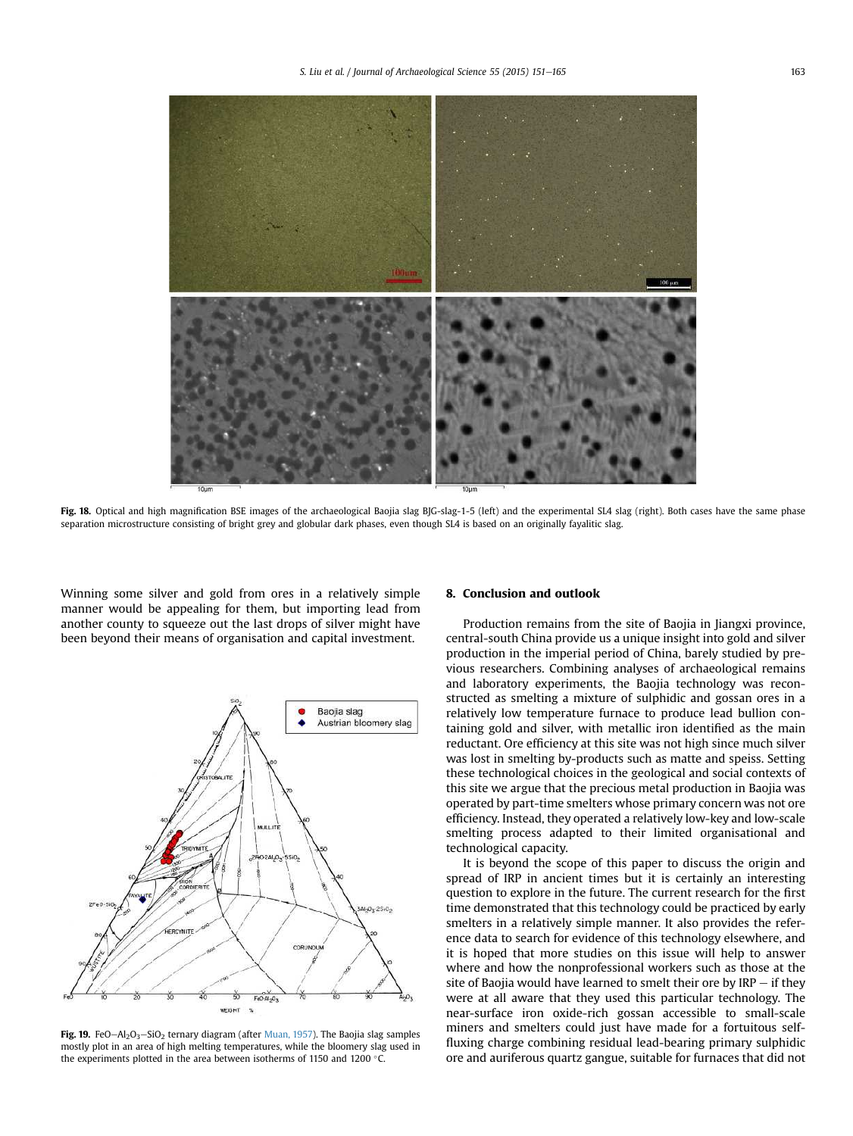<span id="page-12-0"></span>

Fig. 18. Optical and high magnification BSE images of the archaeological Baojia slag BJG-slag-1-5 (left) and the experimental SL4 slag (right). Both cases have the same phase separation microstructure consisting of bright grey and globular dark phases, even though SL4 is based on an originally fayalitic slag.

Winning some silver and gold from ores in a relatively simple manner would be appealing for them, but importing lead from another county to squeeze out the last drops of silver might have been beyond their means of organisation and capital investment.



Fig. 19. FeO $-AI_2O_3-SiO_2$  ternary diagram (after [Muan, 1957](#page-13-0)). The Baojia slag samples mostly plot in an area of high melting temperatures, while the bloomery slag used in the experiments plotted in the area between isotherms of 1150 and 1200  $^{\circ}$ C.

#### 8. Conclusion and outlook

Production remains from the site of Baojia in Jiangxi province, central-south China provide us a unique insight into gold and silver production in the imperial period of China, barely studied by previous researchers. Combining analyses of archaeological remains and laboratory experiments, the Baojia technology was reconstructed as smelting a mixture of sulphidic and gossan ores in a relatively low temperature furnace to produce lead bullion containing gold and silver, with metallic iron identified as the main reductant. Ore efficiency at this site was not high since much silver was lost in smelting by-products such as matte and speiss. Setting these technological choices in the geological and social contexts of this site we argue that the precious metal production in Baojia was operated by part-time smelters whose primary concern was not ore efficiency. Instead, they operated a relatively low-key and low-scale smelting process adapted to their limited organisational and technological capacity.

It is beyond the scope of this paper to discuss the origin and spread of IRP in ancient times but it is certainly an interesting question to explore in the future. The current research for the first time demonstrated that this technology could be practiced by early smelters in a relatively simple manner. It also provides the reference data to search for evidence of this technology elsewhere, and it is hoped that more studies on this issue will help to answer where and how the nonprofessional workers such as those at the site of Baojia would have learned to smelt their ore by  $IRP - if$  they were at all aware that they used this particular technology. The near-surface iron oxide-rich gossan accessible to small-scale miners and smelters could just have made for a fortuitous selffluxing charge combining residual lead-bearing primary sulphidic ore and auriferous quartz gangue, suitable for furnaces that did not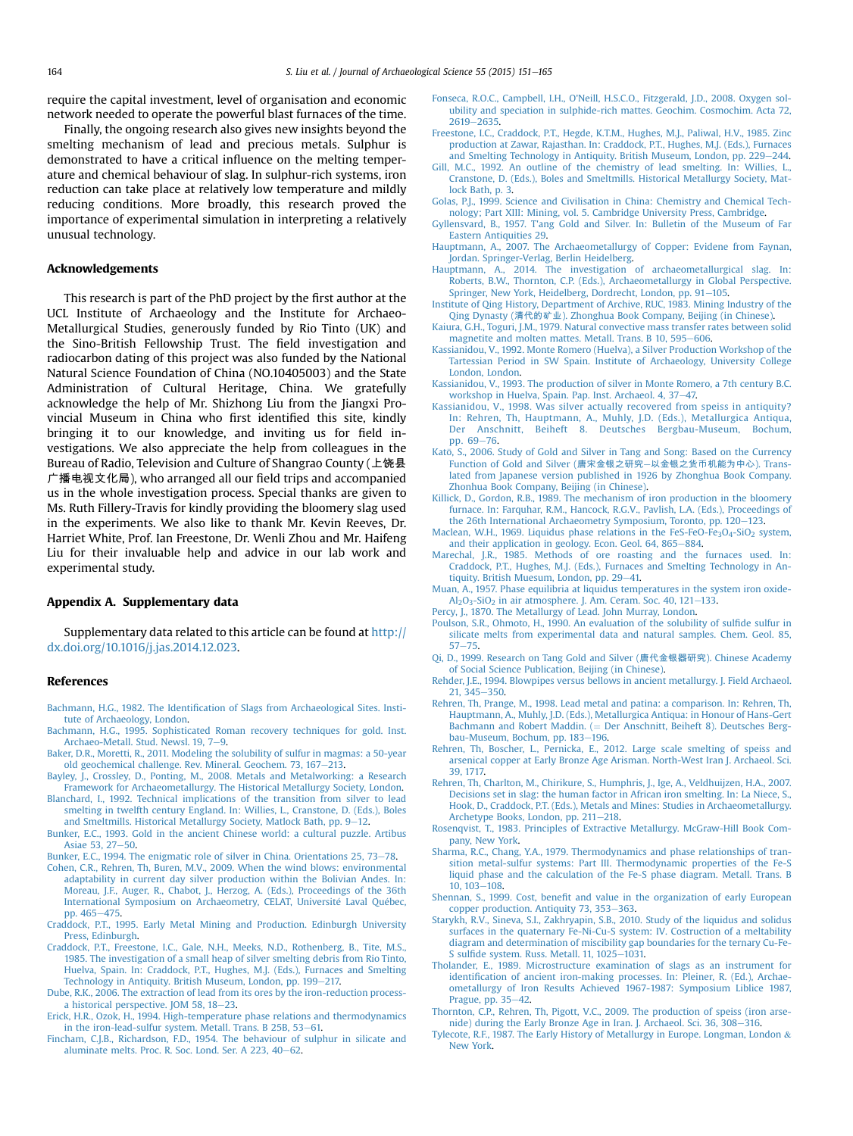<span id="page-13-0"></span>require the capital investment, level of organisation and economic network needed to operate the powerful blast furnaces of the time.

Finally, the ongoing research also gives new insights beyond the smelting mechanism of lead and precious metals. Sulphur is demonstrated to have a critical influence on the melting temperature and chemical behaviour of slag. In sulphur-rich systems, iron reduction can take place at relatively low temperature and mildly reducing conditions. More broadly, this research proved the importance of experimental simulation in interpreting a relatively unusual technology.

### Acknowledgements

This research is part of the PhD project by the first author at the UCL Institute of Archaeology and the Institute for Archaeo-Metallurgical Studies, generously funded by Rio Tinto (UK) and the Sino-British Fellowship Trust. The field investigation and radiocarbon dating of this project was also funded by the National Natural Science Foundation of China (NO.10405003) and the State Administration of Cultural Heritage, China. We gratefully acknowledge the help of Mr. Shizhong Liu from the Jiangxi Provincial Museum in China who first identified this site, kindly bringing it to our knowledge, and inviting us for field investigations. We also appreciate the help from colleagues in the Bureau of Radio, Television and Culture of Shangrao County (上饶县 广播电视文化局), who arranged all our field trips and accompanied us in the whole investigation process. Special thanks are given to Ms. Ruth Fillery-Travis for kindly providing the bloomery slag used in the experiments. We also like to thank Mr. Kevin Reeves, Dr. Harriet White, Prof. Ian Freestone, Dr. Wenli Zhou and Mr. Haifeng Liu for their invaluable help and advice in our lab work and experimental study.

#### Appendix A. Supplementary data

Supplementary data related to this article can be found at [http://](http://dx.doi.org/10.1016/j.jas.2014.12.023) [dx.doi.org/10.1016/j.jas.2014.12.023.](http://dx.doi.org/10.1016/j.jas.2014.12.023)

#### References

- Bachmann, H.G., 1982. The Identifi[cation of Slags from Archaeological Sites. Insti](http://refhub.elsevier.com/S0305-4403(14)00484-1/sref600)[tute of Archaeology, London.](http://refhub.elsevier.com/S0305-4403(14)00484-1/sref600)
- [Bachmann, H.G., 1995. Sophisticated Roman recovery techniques for gold. Inst.](http://refhub.elsevier.com/S0305-4403(14)00484-1/sref1) [Archaeo-Metall. Stud. Newsl. 19, 7](http://refhub.elsevier.com/S0305-4403(14)00484-1/sref1)-[9.](http://refhub.elsevier.com/S0305-4403(14)00484-1/sref1)
- [Baker, D.R., Moretti, R., 2011. Modeling the solubility of sulfur in magmas: a 50-year](http://refhub.elsevier.com/S0305-4403(14)00484-1/sref2) [old geochemical challenge. Rev. Mineral. Geochem. 73, 167](http://refhub.elsevier.com/S0305-4403(14)00484-1/sref2)-[213.](http://refhub.elsevier.com/S0305-4403(14)00484-1/sref2)
- [Bayley, J., Crossley, D., Ponting, M., 2008. Metals and Metalworking: a Research](http://refhub.elsevier.com/S0305-4403(14)00484-1/sref3) [Framework for Archaeometallurgy. The Historical Metallurgy Society, London.](http://refhub.elsevier.com/S0305-4403(14)00484-1/sref3)
- [Blanchard, I., 1992. Technical implications of the transition from silver to lead](http://refhub.elsevier.com/S0305-4403(14)00484-1/sref4) [smelting in twelfth century England. In: Willies, L., Cranstone, D. \(Eds.\), Boles](http://refhub.elsevier.com/S0305-4403(14)00484-1/sref4) [and Smeltmills. Historical Metallurgy Society, Matlock Bath, pp. 9](http://refhub.elsevier.com/S0305-4403(14)00484-1/sref4)-[12](http://refhub.elsevier.com/S0305-4403(14)00484-1/sref4).
- [Bunker, E.C., 1993. Gold in the ancient Chinese world: a cultural puzzle. Artibus](http://refhub.elsevier.com/S0305-4403(14)00484-1/sref5) [Asiae 53, 27](http://refhub.elsevier.com/S0305-4403(14)00484-1/sref5)-[50](http://refhub.elsevier.com/S0305-4403(14)00484-1/sref5).
- [Bunker, E.C., 1994. The enigmatic role of silver in China. Orientations 25, 73](http://refhub.elsevier.com/S0305-4403(14)00484-1/sref6)-[78](http://refhub.elsevier.com/S0305-4403(14)00484-1/sref6).
- [Cohen, C.R., Rehren, Th, Buren, M.V., 2009. When the wind blows: environmental](http://refhub.elsevier.com/S0305-4403(14)00484-1/sref7) [adaptability in current day silver production within the Bolivian Andes. In:](http://refhub.elsevier.com/S0305-4403(14)00484-1/sref7) [Moreau, J.F., Auger, R., Chabot, J., Herzog, A. \(Eds.\), Proceedings of the 36th](http://refhub.elsevier.com/S0305-4403(14)00484-1/sref7) International Symposium on Archaeometry, CELAT, Université Laval Qué[bec,](http://refhub.elsevier.com/S0305-4403(14)00484-1/sref7) [pp. 465](http://refhub.elsevier.com/S0305-4403(14)00484-1/sref7)-[475.](http://refhub.elsevier.com/S0305-4403(14)00484-1/sref7)
- [Craddock, P.T., 1995. Early Metal Mining and Production. Edinburgh University](http://refhub.elsevier.com/S0305-4403(14)00484-1/sref8) [Press, Edinburgh.](http://refhub.elsevier.com/S0305-4403(14)00484-1/sref8)
- [Craddock, P.T., Freestone, I.C., Gale, N.H., Meeks, N.D., Rothenberg, B., Tite, M.S.,](http://refhub.elsevier.com/S0305-4403(14)00484-1/sref9) [1985. The investigation of a small heap of silver smelting debris from Rio Tinto,](http://refhub.elsevier.com/S0305-4403(14)00484-1/sref9) [Huelva, Spain. In: Craddock, P.T., Hughes, M.J. \(Eds.\), Furnaces and Smelting](http://refhub.elsevier.com/S0305-4403(14)00484-1/sref9) [Technology in Antiquity. British Museum, London, pp. 199](http://refhub.elsevier.com/S0305-4403(14)00484-1/sref9)-[217.](http://refhub.elsevier.com/S0305-4403(14)00484-1/sref9)
- [Dube, R.K., 2006. The extraction of lead from its ores by the iron-reduction process](http://refhub.elsevier.com/S0305-4403(14)00484-1/sref10)[a historical perspective. JOM 58, 18](http://refhub.elsevier.com/S0305-4403(14)00484-1/sref10)-[23.](http://refhub.elsevier.com/S0305-4403(14)00484-1/sref10)
- [Erick, H.R., Ozok, H., 1994. High-temperature phase relations and thermodynamics](http://refhub.elsevier.com/S0305-4403(14)00484-1/sref11) [in the iron-lead-sulfur system. Metall. Trans. B 25B, 53](http://refhub.elsevier.com/S0305-4403(14)00484-1/sref11)-[61.](http://refhub.elsevier.com/S0305-4403(14)00484-1/sref11)
- [Fincham, C.J.B., Richardson, F.D., 1954. The behaviour of sulphur in silicate and](http://refhub.elsevier.com/S0305-4403(14)00484-1/sref12) aluminate melts. Proc. R. Soc. Lond. Ser. A  $223$ ,  $40-62$  $40-62$ .
- [Fonseca, R.O.C., Campbell, I.H., O'Neill, H.S.C.O., Fitzgerald, J.D., 2008. Oxygen sol](http://refhub.elsevier.com/S0305-4403(14)00484-1/sref13)[ubility and speciation in sulphide-rich mattes. Geochim. Cosmochim. Acta 72,](http://refhub.elsevier.com/S0305-4403(14)00484-1/sref13)  $2619 - 2635$  $2619 - 2635$  $2619 - 2635$ .
- [Freestone, I.C., Craddock, P.T., Hegde, K.T.M., Hughes, M.J., Paliwal, H.V., 1985. Zinc](http://refhub.elsevier.com/S0305-4403(14)00484-1/sref14) [production at Zawar, Rajasthan. In: Craddock, P.T., Hughes, M.J. \(Eds.\), Furnaces](http://refhub.elsevier.com/S0305-4403(14)00484-1/sref14) [and Smelting Technology in Antiquity. British Museum, London, pp. 229](http://refhub.elsevier.com/S0305-4403(14)00484-1/sref14)–[244.](http://refhub.elsevier.com/S0305-4403(14)00484-1/sref14)
- Gill, M.C., 1992. An outline of the chemistry of lead smelting. In: Willies, L. [Cranstone, D. \(Eds.\), Boles and Smeltmills. Historical Metallurgy Society, Mat](http://refhub.elsevier.com/S0305-4403(14)00484-1/sref15)[lock Bath, p. 3](http://refhub.elsevier.com/S0305-4403(14)00484-1/sref15).
- [Golas, P.J., 1999. Science and Civilisation in China: Chemistry and Chemical Tech](http://refhub.elsevier.com/S0305-4403(14)00484-1/sref16)[nology; Part XIII: Mining, vol. 5. Cambridge University Press, Cambridge.](http://refhub.elsevier.com/S0305-4403(14)00484-1/sref16)
- [Gyllensvard, B., 1957. T'ang Gold and Silver. In: Bulletin of the Museum of Far](http://refhub.elsevier.com/S0305-4403(14)00484-1/sref17) [Eastern Antiquities 29](http://refhub.elsevier.com/S0305-4403(14)00484-1/sref17).
- [Hauptmann, A., 2007. The Archaeometallurgy of Copper: Evidene from Faynan,](http://refhub.elsevier.com/S0305-4403(14)00484-1/sref18) [Jordan. Springer-Verlag, Berlin Heidelberg](http://refhub.elsevier.com/S0305-4403(14)00484-1/sref18).
- [Hauptmann, A., 2014. The investigation of archaeometallurgical slag. In:](http://refhub.elsevier.com/S0305-4403(14)00484-1/sref19) [Roberts, B.W., Thornton, C.P. \(Eds.\), Archaeometallurgy in Global Perspective.](http://refhub.elsevier.com/S0305-4403(14)00484-1/sref19) [Springer, New York, Heidelberg, Dordrecht, London, pp. 91](http://refhub.elsevier.com/S0305-4403(14)00484-1/sref19)-[105](http://refhub.elsevier.com/S0305-4403(14)00484-1/sref19).
- [Institute of Qing History, Department of Archive, RUC, 1983. Mining Industry of the](http://refhub.elsevier.com/S0305-4403(14)00484-1/sref20) Qing Dynasty (清代的矿业[\). Zhonghua Book Company, Beijing \(in Chinese\).](http://refhub.elsevier.com/S0305-4403(14)00484-1/sref20)
- [Kaiura, G.H., Toguri, J.M., 1979. Natural convective mass transfer rates between solid](http://refhub.elsevier.com/S0305-4403(14)00484-1/sref21) [magnetite and molten mattes. Metall. Trans. B 10, 595](http://refhub.elsevier.com/S0305-4403(14)00484-1/sref21)-[606](http://refhub.elsevier.com/S0305-4403(14)00484-1/sref21).
- [Kassianidou, V., 1992. Monte Romero \(Huelva\), a Silver Production Workshop of the](http://refhub.elsevier.com/S0305-4403(14)00484-1/sref22) [Tartessian Period in SW Spain. Institute of Archaeology, University College](http://refhub.elsevier.com/S0305-4403(14)00484-1/sref22) [London, London.](http://refhub.elsevier.com/S0305-4403(14)00484-1/sref22)
- [Kassianidou, V., 1993. The production of silver in Monte Romero, a 7th century B.C.](http://refhub.elsevier.com/S0305-4403(14)00484-1/sref23) [workshop in Huelva, Spain. Pap. Inst. Archaeol. 4, 37](http://refhub.elsevier.com/S0305-4403(14)00484-1/sref23)-[47.](http://refhub.elsevier.com/S0305-4403(14)00484-1/sref23)
- [Kassianidou, V., 1998. Was silver actually recovered from speiss in antiquity?](http://refhub.elsevier.com/S0305-4403(14)00484-1/sref24) [In: Rehren, Th, Hauptmann, A., Muhly, J.D. \(Eds.\), Metallurgica Antiqua,](http://refhub.elsevier.com/S0305-4403(14)00484-1/sref24) [Der Anschnitt, Beiheft 8. Deutsches Bergbau-Museum, Bochum,](http://refhub.elsevier.com/S0305-4403(14)00484-1/sref24) [pp. 69](http://refhub.elsevier.com/S0305-4403(14)00484-1/sref24)-[76](http://refhub.elsevier.com/S0305-4403(14)00484-1/sref24).
- [Kato, S., 2006. Study of Gold and Silver in Tang and Song: Based on the Currency](http://refhub.elsevier.com/S0305-4403(14)00484-1/sref25) [Function of Gold and Silver \(](http://refhub.elsevier.com/S0305-4403(14)00484-1/sref25)唐宋金银之研究-以金银之货币机能为中心[\). Trans](http://refhub.elsevier.com/S0305-4403(14)00484-1/sref25)[lated from Japanese version published in 1926 by Zhonghua Book Company.](http://refhub.elsevier.com/S0305-4403(14)00484-1/sref25) [Zhonhua Book Company, Beijing \(in Chinese\)](http://refhub.elsevier.com/S0305-4403(14)00484-1/sref25).
- [Killick, D., Gordon, R.B., 1989. The mechanism of iron production in the bloomery](http://refhub.elsevier.com/S0305-4403(14)00484-1/sref26) [furnace. In: Farquhar, R.M., Hancock, R.G.V., Pavlish, L.A. \(Eds.\), Proceedings of](http://refhub.elsevier.com/S0305-4403(14)00484-1/sref26) [the 26th International Archaeometry Symposium, Toronto, pp. 120](http://refhub.elsevier.com/S0305-4403(14)00484-1/sref26)-[123](http://refhub.elsevier.com/S0305-4403(14)00484-1/sref26).
- Maclean, W.H., 1969. Liquidus phase relations in the FeS-FeO-Fe<sub>3</sub>O<sub>4</sub>-SiO<sub>2</sub> [system,](http://refhub.elsevier.com/S0305-4403(14)00484-1/sref27) [and their application in geology. Econ. Geol. 64, 865](http://refhub.elsevier.com/S0305-4403(14)00484-1/sref27)-[884.](http://refhub.elsevier.com/S0305-4403(14)00484-1/sref27)
- [Marechal, J.R., 1985. Methods of ore roasting and the furnaces used. In:](http://refhub.elsevier.com/S0305-4403(14)00484-1/sref28) [Craddock, P.T., Hughes, M.J. \(Eds.\), Furnaces and Smelting Technology in An](http://refhub.elsevier.com/S0305-4403(14)00484-1/sref28)[tiquity. British Muesum, London, pp. 29](http://refhub.elsevier.com/S0305-4403(14)00484-1/sref28)-[41.](http://refhub.elsevier.com/S0305-4403(14)00484-1/sref28)
- [Muan, A., 1957. Phase equilibria at liquidus temperatures in the system iron oxide-](http://refhub.elsevier.com/S0305-4403(14)00484-1/sref29) $Al_2O_3-SiO_2$  [in air atmosphere. J. Am. Ceram. Soc. 40, 121](http://refhub.elsevier.com/S0305-4403(14)00484-1/sref29)-[133](http://refhub.elsevier.com/S0305-4403(14)00484-1/sref29).
- [Percy, J., 1870. The Metallurgy of Lead. John Murray, London.](http://refhub.elsevier.com/S0305-4403(14)00484-1/sref30)
- [Poulson, S.R., Ohmoto, H., 1990. An evaluation of the solubility of sul](http://refhub.elsevier.com/S0305-4403(14)00484-1/sref31)fide sulfur in [silicate melts from experimental data and natural samples. Chem. Geol. 85,](http://refhub.elsevier.com/S0305-4403(14)00484-1/sref31)  $57 - 75$  $57 - 75$
- [Qi, D., 1999. Research on Tang Gold and Silver \(](http://refhub.elsevier.com/S0305-4403(14)00484-1/sref32)唐代金银器研究). Chinese Academy [of Social Science Publication, Beijing \(in Chinese\)](http://refhub.elsevier.com/S0305-4403(14)00484-1/sref32).
- [Rehder, J.E., 1994. Blowpipes versus bellows in ancient metallurgy. J. Field Archaeol.](http://refhub.elsevier.com/S0305-4403(14)00484-1/sref33)  $21, 345 - 350.$  $21, 345 - 350.$  $21, 345 - 350.$
- [Rehren, Th, Prange, M., 1998. Lead metal and patina: a comparison. In: Rehren, Th,](http://refhub.elsevier.com/S0305-4403(14)00484-1/sref34) [Hauptmann, A., Muhly, J.D. \(Eds.\), Metallurgica Antiqua: in Honour of Hans-Gert](http://refhub.elsevier.com/S0305-4403(14)00484-1/sref34) [Bachmann and Robert Maddin. \(](http://refhub.elsevier.com/S0305-4403(14)00484-1/sref34)= [Der Anschnitt, Beiheft 8\). Deutsches Berg](http://refhub.elsevier.com/S0305-4403(14)00484-1/sref34)[bau-Museum, Bochum, pp. 183](http://refhub.elsevier.com/S0305-4403(14)00484-1/sref34)-[196.](http://refhub.elsevier.com/S0305-4403(14)00484-1/sref34)
- [Rehren, Th, Boscher, L., Pernicka, E., 2012. Large scale smelting of speiss and](http://refhub.elsevier.com/S0305-4403(14)00484-1/sref35) [arsenical copper at Early Bronze Age Arisman. North-West Iran J. Archaeol. Sci.](http://refhub.elsevier.com/S0305-4403(14)00484-1/sref35) [39, 1717.](http://refhub.elsevier.com/S0305-4403(14)00484-1/sref35)
- [Rehren, Th, Charlton, M., Chirikure, S., Humphris, J., Ige, A., Veldhuijzen, H.A., 2007.](http://refhub.elsevier.com/S0305-4403(14)00484-1/sref36) [Decisions set in slag: the human factor in African iron smelting. In: La Niece, S.,](http://refhub.elsevier.com/S0305-4403(14)00484-1/sref36) [Hook, D., Craddock, P.T. \(Eds.\), Metals and Mines: Studies in Archaeometallurgy.](http://refhub.elsevier.com/S0305-4403(14)00484-1/sref36) [Archetype Books, London, pp. 211](http://refhub.elsevier.com/S0305-4403(14)00484-1/sref36)-[218](http://refhub.elsevier.com/S0305-4403(14)00484-1/sref36).
- [Rosenqvist, T., 1983. Principles of Extractive Metallurgy. McGraw-Hill Book Com](http://refhub.elsevier.com/S0305-4403(14)00484-1/sref37)[pany, New York.](http://refhub.elsevier.com/S0305-4403(14)00484-1/sref37)
- [Sharma, R.C., Chang, Y.A., 1979. Thermodynamics and phase relationships of tran](http://refhub.elsevier.com/S0305-4403(14)00484-1/sref38)[sition metal-sulfur systems: Part III. Thermodynamic properties of the Fe-S](http://refhub.elsevier.com/S0305-4403(14)00484-1/sref38) [liquid phase and the calculation of the Fe-S phase diagram. Metall. Trans. B](http://refhub.elsevier.com/S0305-4403(14)00484-1/sref38)  $10, 103 - 108.$  $10, 103 - 108.$  $10, 103 - 108.$
- Shennan, S., 1999. Cost, benefi[t and value in the organization of early European](http://refhub.elsevier.com/S0305-4403(14)00484-1/sref39) [copper production. Antiquity 73, 353](http://refhub.elsevier.com/S0305-4403(14)00484-1/sref39)-[363](http://refhub.elsevier.com/S0305-4403(14)00484-1/sref39).
- [Starykh, R.V., Sineva, S.I., Zakhryapin, S.B., 2010. Study of the liquidus and solidus](http://refhub.elsevier.com/S0305-4403(14)00484-1/sref40) [surfaces in the quaternary Fe-Ni-Cu-S system: IV. Costruction of a meltability](http://refhub.elsevier.com/S0305-4403(14)00484-1/sref40) [diagram and determination of miscibility gap boundaries for the ternary Cu-Fe-](http://refhub.elsevier.com/S0305-4403(14)00484-1/sref40)S sulfide system. Russ. Metall.  $11$ ,  $1025-1031$ .
- [Tholander, E., 1989. Microstructure examination of slags as an instrument for](http://refhub.elsevier.com/S0305-4403(14)00484-1/sref41) identifi[cation of ancient iron-making processes. In: Pleiner, R. \(Ed.\), Archae](http://refhub.elsevier.com/S0305-4403(14)00484-1/sref41)[ometallurgy of Iron Results Achieved 1967-1987: Symposium Liblice 1987,](http://refhub.elsevier.com/S0305-4403(14)00484-1/sref41) [Prague, pp. 35](http://refhub.elsevier.com/S0305-4403(14)00484-1/sref41)-[42.](http://refhub.elsevier.com/S0305-4403(14)00484-1/sref41)
- [Thornton, C.P., Rehren, Th, Pigott, V.C., 2009. The production of speiss \(iron arse](http://refhub.elsevier.com/S0305-4403(14)00484-1/sref42)[nide\) during the Early Bronze Age in Iran. J. Archaeol. Sci. 36, 308](http://refhub.elsevier.com/S0305-4403(14)00484-1/sref42)-[316.](http://refhub.elsevier.com/S0305-4403(14)00484-1/sref42)
- [Tylecote, R.F., 1987. The Early History of Metallurgy in Europe. Longman, London](http://refhub.elsevier.com/S0305-4403(14)00484-1/sref43) & [New York](http://refhub.elsevier.com/S0305-4403(14)00484-1/sref43).